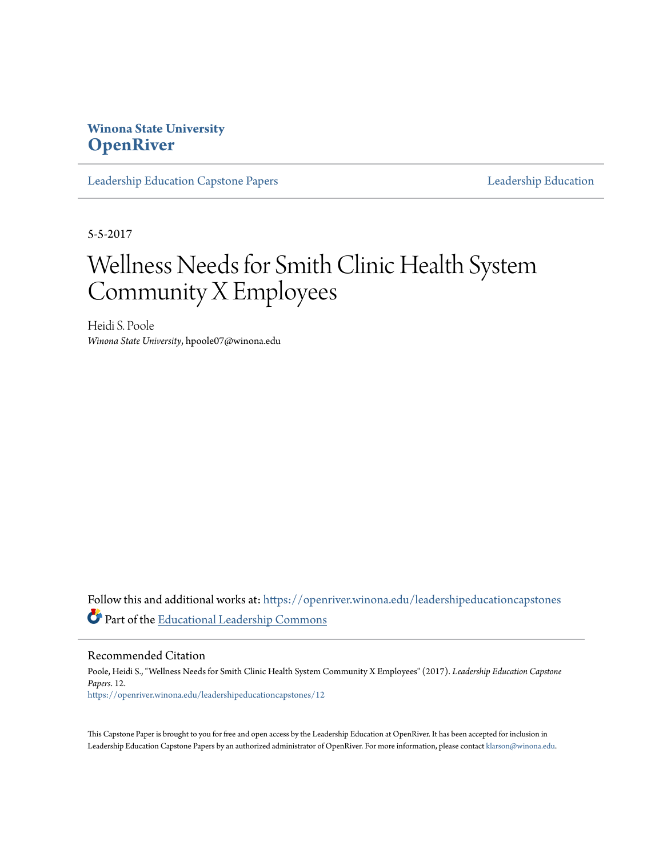## **Winona State University [OpenRiver](https://openriver.winona.edu?utm_source=openriver.winona.edu%2Fleadershipeducationcapstones%2F12&utm_medium=PDF&utm_campaign=PDFCoverPages)**

[Leadership Education Capstone Papers](https://openriver.winona.edu/leadershipeducationcapstones?utm_source=openriver.winona.edu%2Fleadershipeducationcapstones%2F12&utm_medium=PDF&utm_campaign=PDFCoverPages) [Leadership Education](https://openriver.winona.edu/leadershipeducation?utm_source=openriver.winona.edu%2Fleadershipeducationcapstones%2F12&utm_medium=PDF&utm_campaign=PDFCoverPages)

5-5-2017

# Wellness Needs for Smith Clinic Health System Community X Employees

Heidi S. Poole *Winona State University*, hpoole07@winona.edu

Follow this and additional works at: [https://openriver.winona.edu/leadershipeducationcapstones](https://openriver.winona.edu/leadershipeducationcapstones?utm_source=openriver.winona.edu%2Fleadershipeducationcapstones%2F12&utm_medium=PDF&utm_campaign=PDFCoverPages) Part of the [Educational Leadership Commons](http://network.bepress.com/hgg/discipline/1230?utm_source=openriver.winona.edu%2Fleadershipeducationcapstones%2F12&utm_medium=PDF&utm_campaign=PDFCoverPages)

Recommended Citation

Poole, Heidi S., "Wellness Needs for Smith Clinic Health System Community X Employees" (2017). *Leadership Education Capstone Papers*. 12. [https://openriver.winona.edu/leadershipeducationcapstones/12](https://openriver.winona.edu/leadershipeducationcapstones/12?utm_source=openriver.winona.edu%2Fleadershipeducationcapstones%2F12&utm_medium=PDF&utm_campaign=PDFCoverPages)

This Capstone Paper is brought to you for free and open access by the Leadership Education at OpenRiver. It has been accepted for inclusion in Leadership Education Capstone Papers by an authorized administrator of OpenRiver. For more information, please contact [klarson@winona.edu.](mailto:klarson@winona.edu)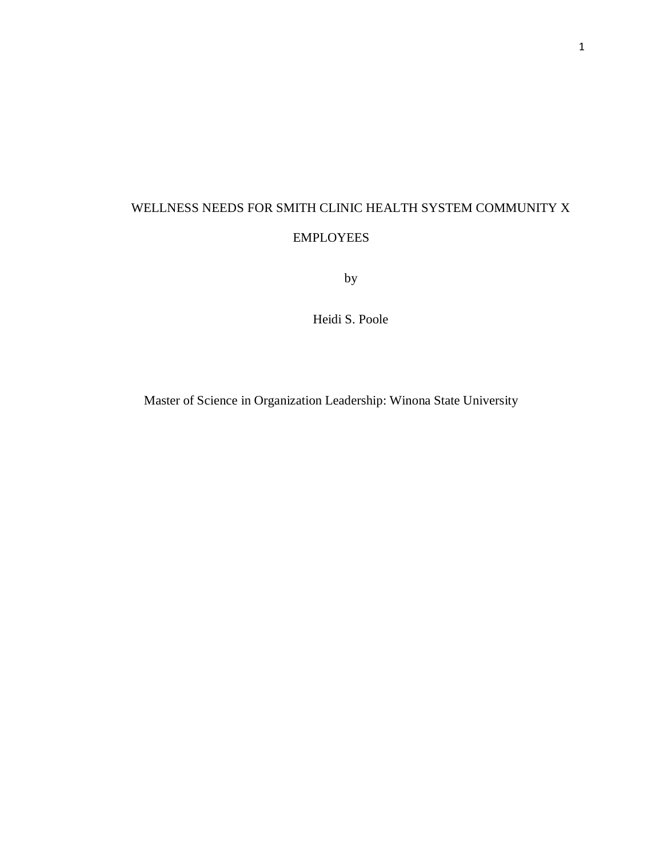## WELLNESS NEEDS FOR SMITH CLINIC HEALTH SYSTEM COMMUNITY X EMPLOYEES

by

Heidi S. Poole

Master of Science in Organization Leadership: Winona State University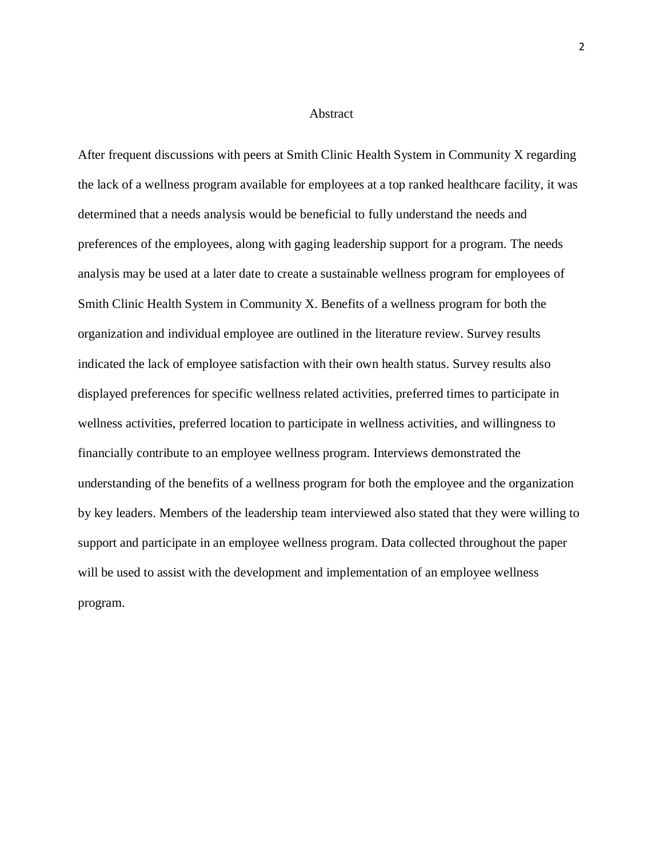#### Abstract

After frequent discussions with peers at Smith Clinic Health System in Community X regarding the lack of a wellness program available for employees at a top ranked healthcare facility, it was determined that a needs analysis would be beneficial to fully understand the needs and preferences of the employees, along with gaging leadership support for a program. The needs analysis may be used at a later date to create a sustainable wellness program for employees of Smith Clinic Health System in Community X. Benefits of a wellness program for both the organization and individual employee are outlined in the literature review. Survey results indicated the lack of employee satisfaction with their own health status. Survey results also displayed preferences for specific wellness related activities, preferred times to participate in wellness activities, preferred location to participate in wellness activities, and willingness to financially contribute to an employee wellness program. Interviews demonstrated the understanding of the benefits of a wellness program for both the employee and the organization by key leaders. Members of the leadership team interviewed also stated that they were willing to support and participate in an employee wellness program. Data collected throughout the paper will be used to assist with the development and implementation of an employee wellness program.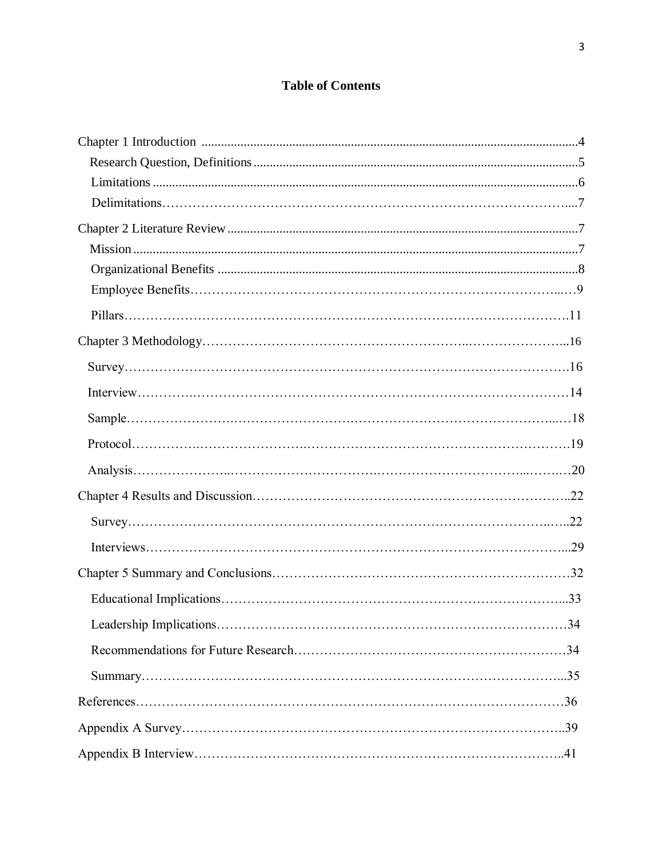## **Table of Contents**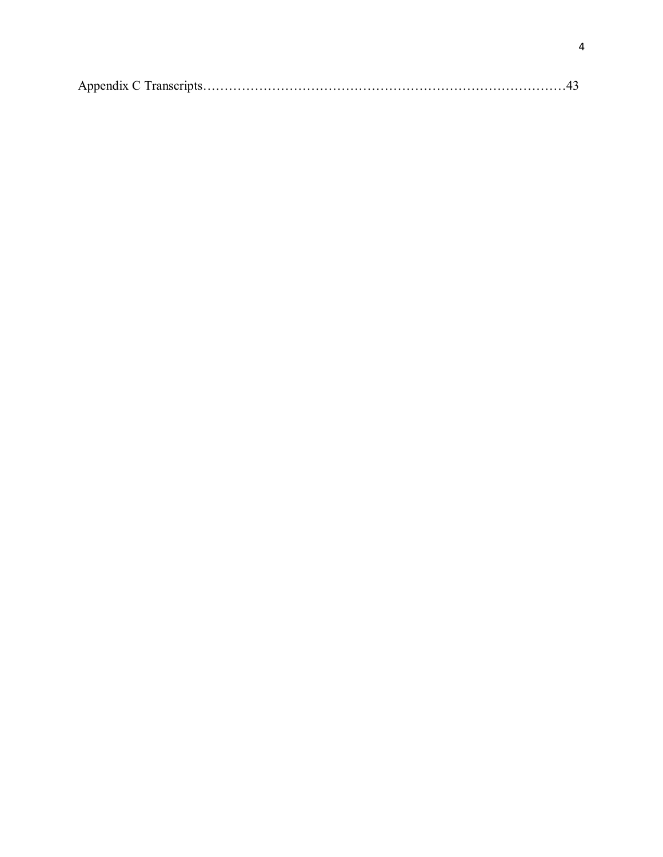|--|--|--|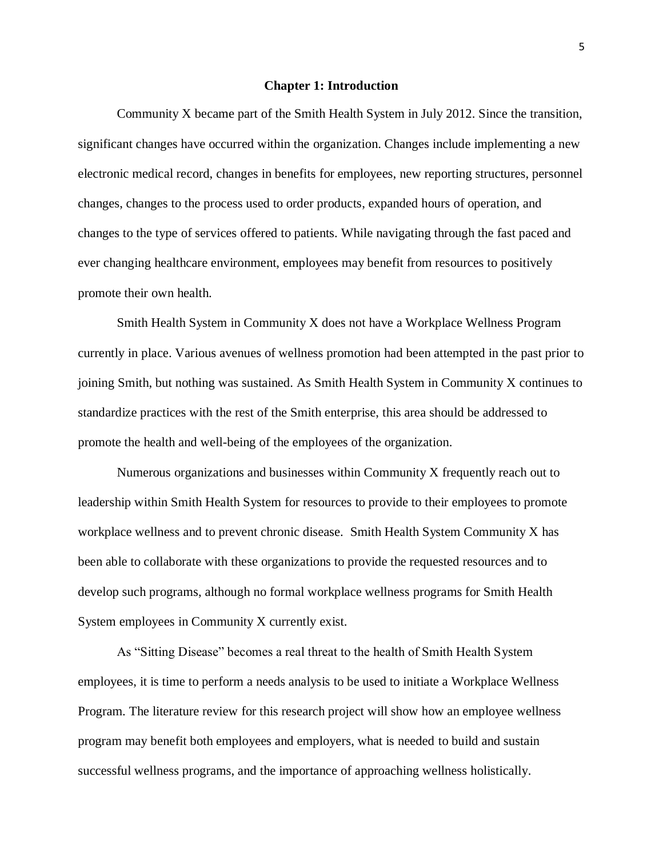#### **Chapter 1: Introduction**

Community X became part of the Smith Health System in July 2012. Since the transition, significant changes have occurred within the organization. Changes include implementing a new electronic medical record, changes in benefits for employees, new reporting structures, personnel changes, changes to the process used to order products, expanded hours of operation, and changes to the type of services offered to patients. While navigating through the fast paced and ever changing healthcare environment, employees may benefit from resources to positively promote their own health.

Smith Health System in Community X does not have a Workplace Wellness Program currently in place. Various avenues of wellness promotion had been attempted in the past prior to joining Smith, but nothing was sustained. As Smith Health System in Community X continues to standardize practices with the rest of the Smith enterprise, this area should be addressed to promote the health and well-being of the employees of the organization.

Numerous organizations and businesses within Community X frequently reach out to leadership within Smith Health System for resources to provide to their employees to promote workplace wellness and to prevent chronic disease. Smith Health System Community X has been able to collaborate with these organizations to provide the requested resources and to develop such programs, although no formal workplace wellness programs for Smith Health System employees in Community X currently exist.

As "Sitting Disease" becomes a real threat to the health of Smith Health System employees, it is time to perform a needs analysis to be used to initiate a Workplace Wellness Program. The literature review for this research project will show how an employee wellness program may benefit both employees and employers, what is needed to build and sustain successful wellness programs, and the importance of approaching wellness holistically.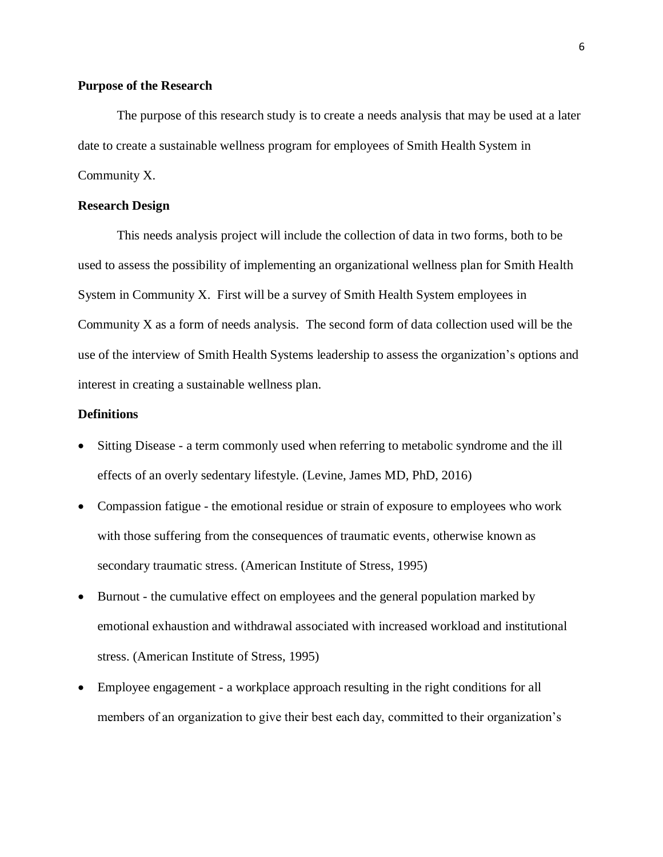#### **Purpose of the Research**

The purpose of this research study is to create a needs analysis that may be used at a later date to create a sustainable wellness program for employees of Smith Health System in Community X.

#### **Research Design**

This needs analysis project will include the collection of data in two forms, both to be used to assess the possibility of implementing an organizational wellness plan for Smith Health System in Community X. First will be a survey of Smith Health System employees in Community X as a form of needs analysis. The second form of data collection used will be the use of the interview of Smith Health Systems leadership to assess the organization's options and interest in creating a sustainable wellness plan.

#### **Definitions**

- Sitting Disease a term commonly used when referring to metabolic syndrome and the ill effects of an overly sedentary lifestyle. (Levine, James MD, PhD, 2016)
- Compassion fatigue the emotional residue or strain of exposure to employees who work with those suffering from the consequences of traumatic events, otherwise known as secondary traumatic stress. (American Institute of Stress, 1995)
- Burnout the cumulative effect on employees and the general population marked by emotional exhaustion and withdrawal associated with increased workload and institutional stress. (American Institute of Stress, 1995)
- Employee engagement a workplace approach resulting in the right conditions for all members of an organization to give their best each day, committed to their organization's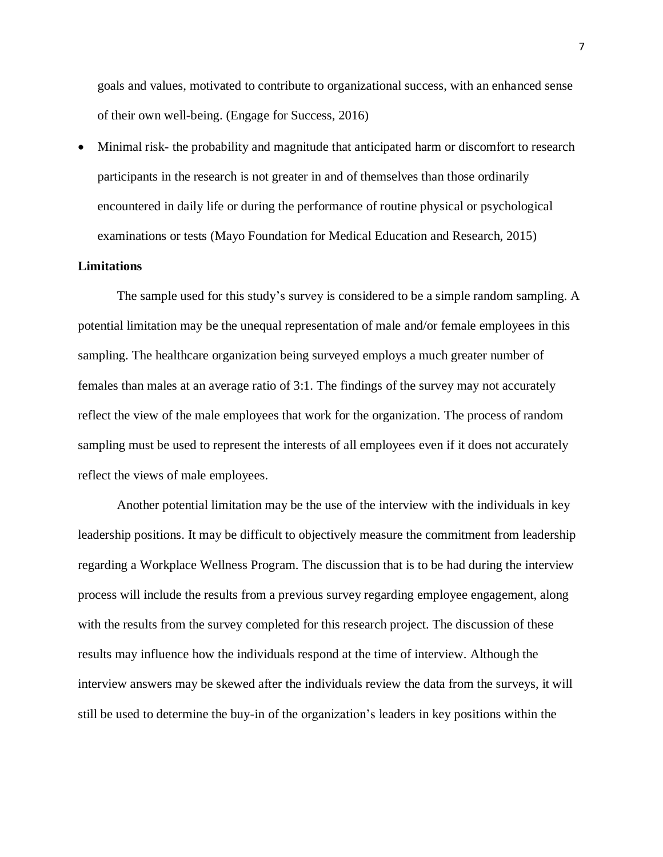goals and values, motivated to contribute to organizational success, with an enhanced sense of their own well-being. (Engage for Success, 2016)

• Minimal risk- the probability and magnitude that anticipated harm or discomfort to research participants in the research is not greater in and of themselves than those ordinarily encountered in daily life or during the performance of routine physical or psychological examinations or tests (Mayo Foundation for Medical Education and Research, 2015)

#### **Limitations**

The sample used for this study's survey is considered to be a simple random sampling. A potential limitation may be the unequal representation of male and/or female employees in this sampling. The healthcare organization being surveyed employs a much greater number of females than males at an average ratio of 3:1. The findings of the survey may not accurately reflect the view of the male employees that work for the organization. The process of random sampling must be used to represent the interests of all employees even if it does not accurately reflect the views of male employees.

Another potential limitation may be the use of the interview with the individuals in key leadership positions. It may be difficult to objectively measure the commitment from leadership regarding a Workplace Wellness Program. The discussion that is to be had during the interview process will include the results from a previous survey regarding employee engagement, along with the results from the survey completed for this research project. The discussion of these results may influence how the individuals respond at the time of interview. Although the interview answers may be skewed after the individuals review the data from the surveys, it will still be used to determine the buy-in of the organization's leaders in key positions within the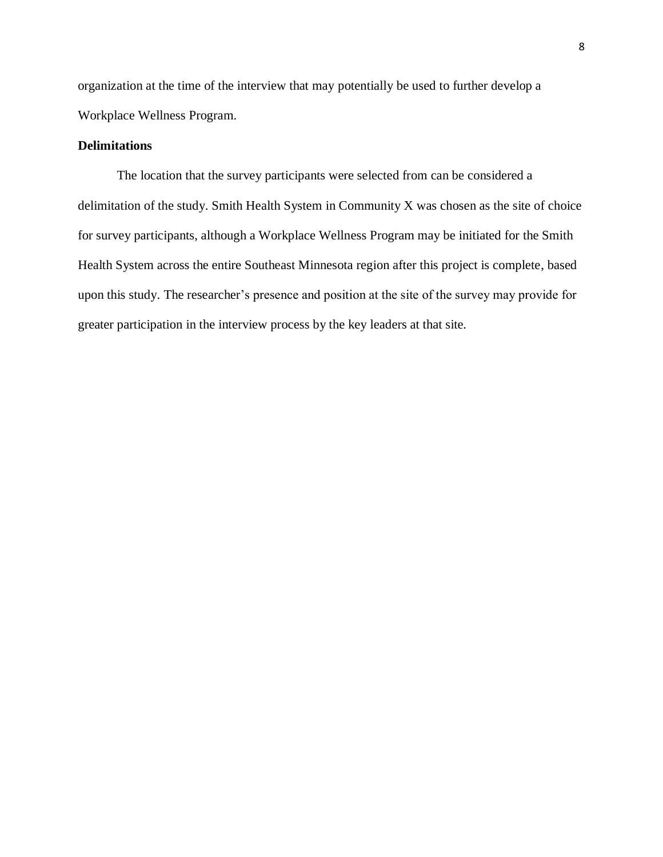organization at the time of the interview that may potentially be used to further develop a Workplace Wellness Program.

#### **Delimitations**

The location that the survey participants were selected from can be considered a delimitation of the study. Smith Health System in Community X was chosen as the site of choice for survey participants, although a Workplace Wellness Program may be initiated for the Smith Health System across the entire Southeast Minnesota region after this project is complete, based upon this study. The researcher's presence and position at the site of the survey may provide for greater participation in the interview process by the key leaders at that site.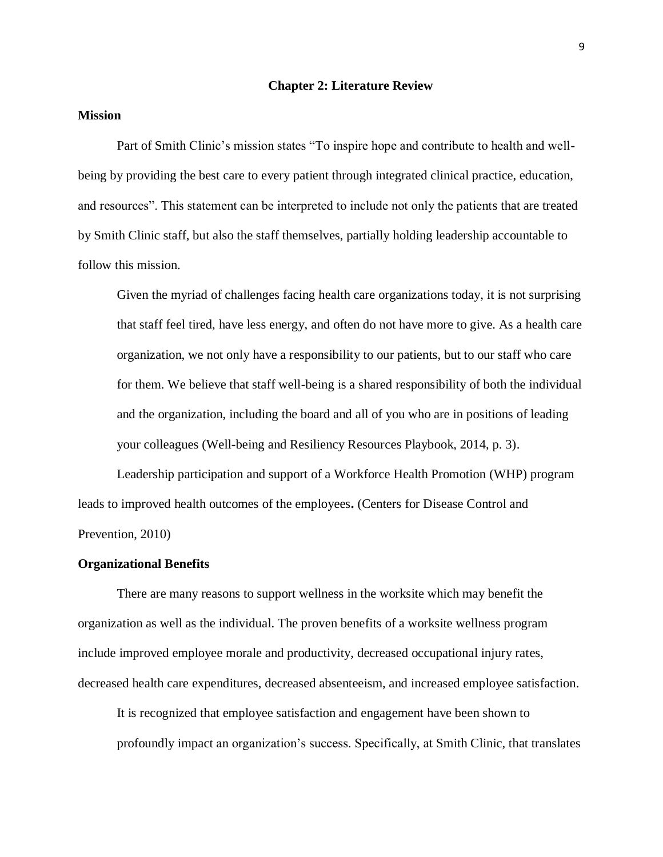#### **Chapter 2: Literature Review**

#### **Mission**

Part of Smith Clinic's mission states "To inspire hope and contribute to health and wellbeing by providing the best care to every patient through integrated clinical practice, education, and resources". This statement can be interpreted to include not only the patients that are treated by Smith Clinic staff, but also the staff themselves, partially holding leadership accountable to follow this mission.

Given the myriad of challenges facing health care organizations today, it is not surprising that staff feel tired, have less energy, and often do not have more to give. As a health care organization, we not only have a responsibility to our patients, but to our staff who care for them. We believe that staff well-being is a shared responsibility of both the individual and the organization, including the board and all of you who are in positions of leading your colleagues (Well-being and Resiliency Resources Playbook, 2014, p. 3).

Leadership participation and support of a Workforce Health Promotion (WHP) program leads to improved health outcomes of the employees**.** (Centers for Disease Control and Prevention, 2010)

#### **Organizational Benefits**

There are many reasons to support wellness in the worksite which may benefit the organization as well as the individual. The proven benefits of a worksite wellness program include improved employee morale and productivity, decreased occupational injury rates, decreased health care expenditures, decreased absenteeism, and increased employee satisfaction.

It is recognized that employee satisfaction and engagement have been shown to profoundly impact an organization's success. Specifically, at Smith Clinic, that translates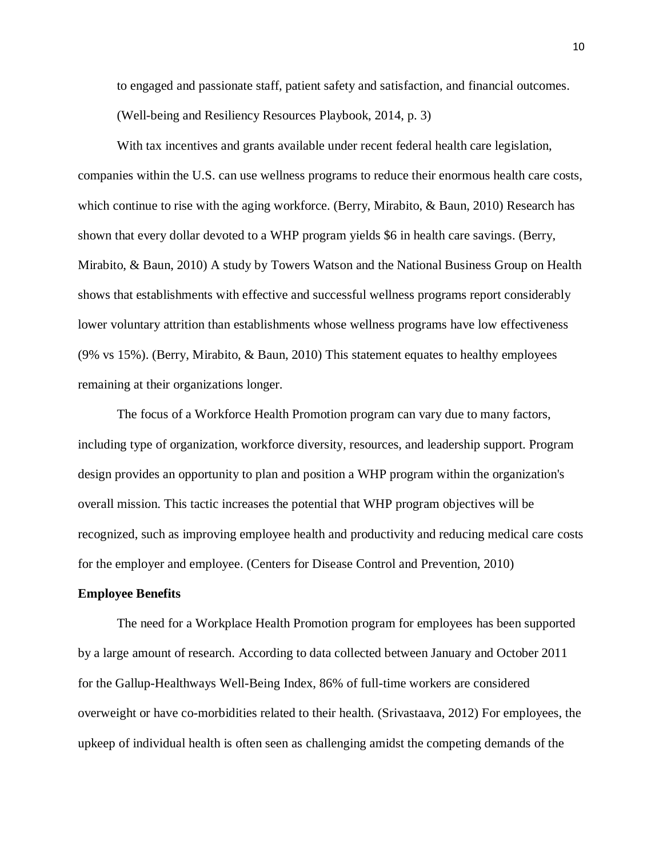to engaged and passionate staff, patient safety and satisfaction, and financial outcomes. (Well-being and Resiliency Resources Playbook, 2014, p. 3)

With tax incentives and grants available under recent federal health care legislation, companies within the U.S. can use wellness programs to reduce their enormous health care costs, which continue to rise with the aging workforce. (Berry, Mirabito, & Baun, 2010) Research has shown that every dollar devoted to a WHP program yields \$6 in health care savings. (Berry, Mirabito, & Baun, 2010) A study by Towers Watson and the National Business Group on Health shows that establishments with effective and successful wellness programs report considerably lower voluntary attrition than establishments whose wellness programs have low effectiveness (9% vs 15%). (Berry, Mirabito, & Baun, 2010) This statement equates to healthy employees remaining at their organizations longer.

The focus of a Workforce Health Promotion program can vary due to many factors, including type of organization, workforce diversity, resources, and leadership support. Program design provides an opportunity to plan and position a WHP program within the organization's overall mission. This tactic increases the potential that WHP program objectives will be recognized, such as improving employee health and productivity and reducing medical care costs for the employer and employee. (Centers for Disease Control and Prevention, 2010)

#### **Employee Benefits**

The need for a Workplace Health Promotion program for employees has been supported by a large amount of research. According to data collected between January and October 2011 for the Gallup-Healthways Well-Being Index, 86% of full-time workers are considered overweight or have co-morbidities related to their health. (Srivastaava, 2012) For employees, the upkeep of individual health is often seen as challenging amidst the competing demands of the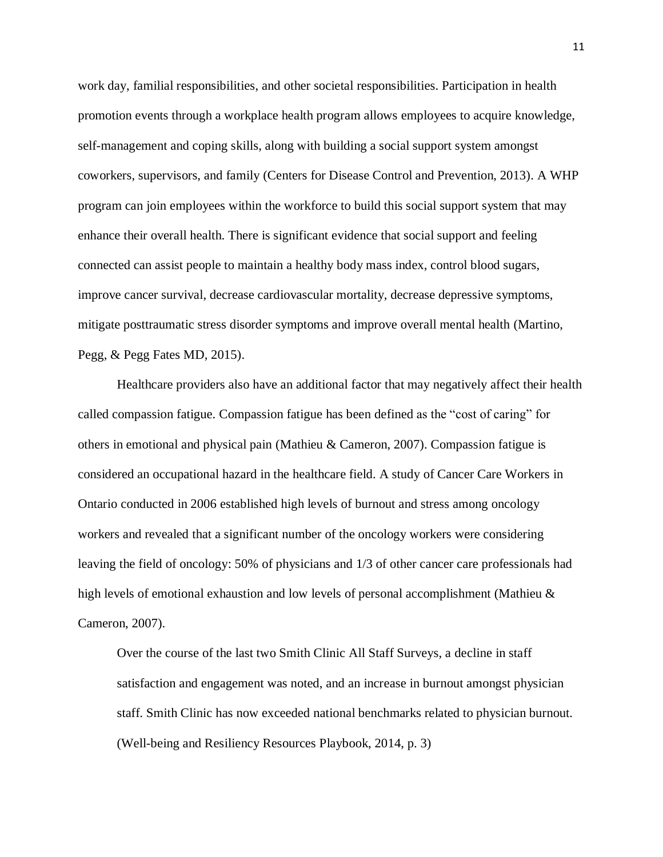work day, familial responsibilities, and other societal responsibilities. Participation in health promotion events through a workplace health program allows employees to acquire knowledge, self-management and coping skills, along with building a social support system amongst coworkers, supervisors, and family (Centers for Disease Control and Prevention, 2013). A WHP program can join employees within the workforce to build this social support system that may enhance their overall health. There is significant evidence that social support and feeling connected can assist people to maintain a healthy body mass index, control blood sugars, improve cancer survival, decrease cardiovascular mortality, decrease depressive symptoms, mitigate posttraumatic stress disorder symptoms and improve overall mental health (Martino, Pegg, & Pegg Fates MD, 2015).

Healthcare providers also have an additional factor that may negatively affect their health called compassion fatigue. Compassion fatigue has been defined as the "cost of caring" for others in emotional and physical pain (Mathieu & Cameron, 2007). Compassion fatigue is considered an occupational hazard in the healthcare field. A study of Cancer Care Workers in Ontario conducted in 2006 established high levels of burnout and stress among oncology workers and revealed that a significant number of the oncology workers were considering leaving the field of oncology: 50% of physicians and 1/3 of other cancer care professionals had high levels of emotional exhaustion and low levels of personal accomplishment (Mathieu & Cameron, 2007).

Over the course of the last two Smith Clinic All Staff Surveys, a decline in staff satisfaction and engagement was noted, and an increase in burnout amongst physician staff. Smith Clinic has now exceeded national benchmarks related to physician burnout. (Well-being and Resiliency Resources Playbook, 2014, p. 3)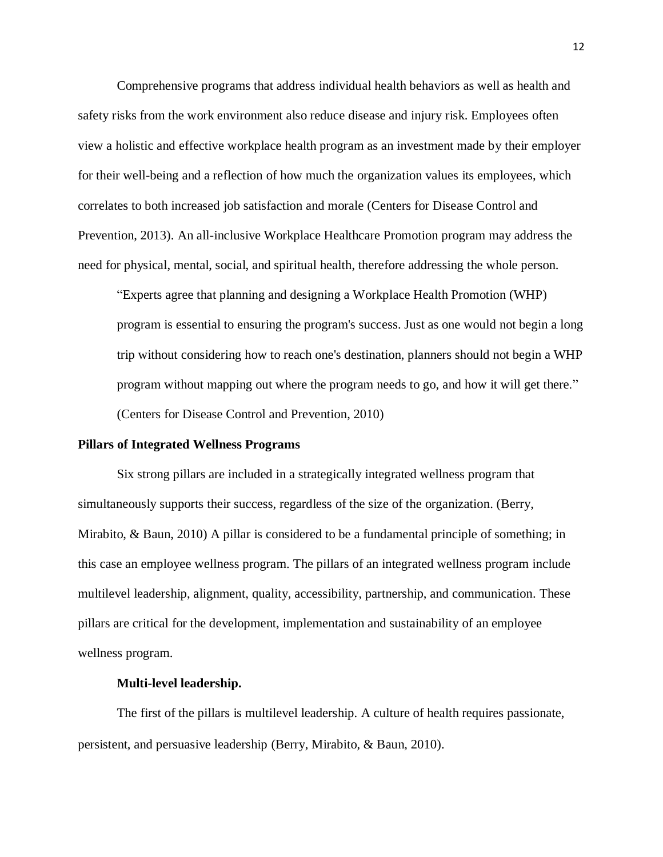Comprehensive programs that address individual health behaviors as well as health and safety risks from the work environment also reduce disease and injury risk. Employees often view a holistic and effective workplace health program as an investment made by their employer for their well-being and a reflection of how much the organization values its employees, which correlates to both increased job satisfaction and morale (Centers for Disease Control and Prevention, 2013). An all-inclusive Workplace Healthcare Promotion program may address the need for physical, mental, social, and spiritual health, therefore addressing the whole person.

"Experts agree that planning and designing a Workplace Health Promotion (WHP) program is essential to ensuring the program's success. Just as one would not begin a long trip without considering how to reach one's destination, planners should not begin a WHP program without mapping out where the program needs to go, and how it will get there." (Centers for Disease Control and Prevention, 2010)

#### **Pillars of Integrated Wellness Programs**

Six strong pillars are included in a strategically integrated wellness program that simultaneously supports their success, regardless of the size of the organization. (Berry, Mirabito, & Baun, 2010) A pillar is considered to be a fundamental principle of something; in this case an employee wellness program. The pillars of an integrated wellness program include multilevel leadership, alignment, quality, accessibility, partnership, and communication. These pillars are critical for the development, implementation and sustainability of an employee wellness program.

#### **Multi-level leadership.**

The first of the pillars is multilevel leadership. A culture of health requires passionate, persistent, and persuasive leadership (Berry, Mirabito, & Baun, 2010).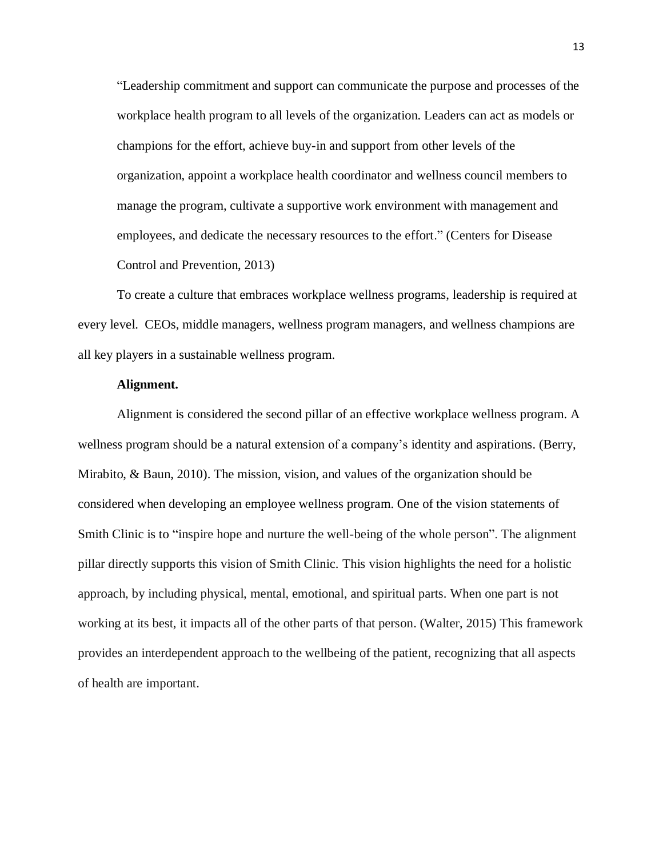"Leadership commitment and support can communicate the purpose and processes of the workplace health program to all levels of the organization. Leaders can act as models or champions for the effort, achieve buy-in and support from other levels of the organization, appoint a workplace health coordinator and wellness council members to manage the program, cultivate a supportive work environment with management and employees, and dedicate the necessary resources to the effort." (Centers for Disease Control and Prevention, 2013)

To create a culture that embraces workplace wellness programs, leadership is required at every level. CEOs, middle managers, wellness program managers, and wellness champions are all key players in a sustainable wellness program.

#### **Alignment.**

Alignment is considered the second pillar of an effective workplace wellness program. A wellness program should be a natural extension of a company's identity and aspirations. (Berry, Mirabito, & Baun, 2010). The mission, vision, and values of the organization should be considered when developing an employee wellness program. One of the vision statements of Smith Clinic is to "inspire hope and nurture the well-being of the whole person". The alignment pillar directly supports this vision of Smith Clinic. This vision highlights the need for a holistic approach, by including physical, mental, emotional, and spiritual parts. When one part is not working at its best, it impacts all of the other parts of that person. (Walter, 2015) This framework provides an interdependent approach to the wellbeing of the patient, recognizing that all aspects of health are important.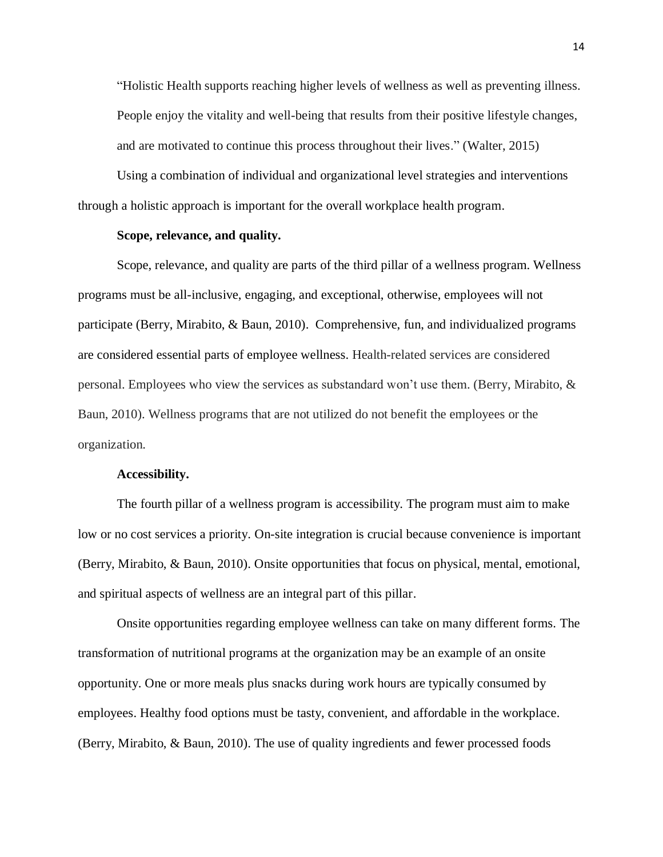"Holistic Health supports reaching higher levels of wellness as well as preventing illness. People enjoy the vitality and well-being that results from their positive lifestyle changes, and are motivated to continue this process throughout their lives." (Walter, 2015)

Using a combination of individual and organizational level strategies and interventions through a holistic approach is important for the overall workplace health program.

#### **Scope, relevance, and quality.**

Scope, relevance, and quality are parts of the third pillar of a wellness program. Wellness programs must be all-inclusive, engaging, and exceptional, otherwise, employees will not participate (Berry, Mirabito, & Baun, 2010). Comprehensive, fun, and individualized programs are considered essential parts of employee wellness. Health-related services are considered personal. Employees who view the services as substandard won't use them. (Berry, Mirabito, & Baun, 2010). Wellness programs that are not utilized do not benefit the employees or the organization.

#### **Accessibility.**

The fourth pillar of a wellness program is accessibility. The program must aim to make low or no cost services a priority. On-site integration is crucial because convenience is important (Berry, Mirabito, & Baun, 2010). Onsite opportunities that focus on physical, mental, emotional, and spiritual aspects of wellness are an integral part of this pillar.

Onsite opportunities regarding employee wellness can take on many different forms. The transformation of nutritional programs at the organization may be an example of an onsite opportunity. One or more meals plus snacks during work hours are typically consumed by employees. Healthy food options must be tasty, convenient, and affordable in the workplace. (Berry, Mirabito, & Baun, 2010). The use of quality ingredients and fewer processed foods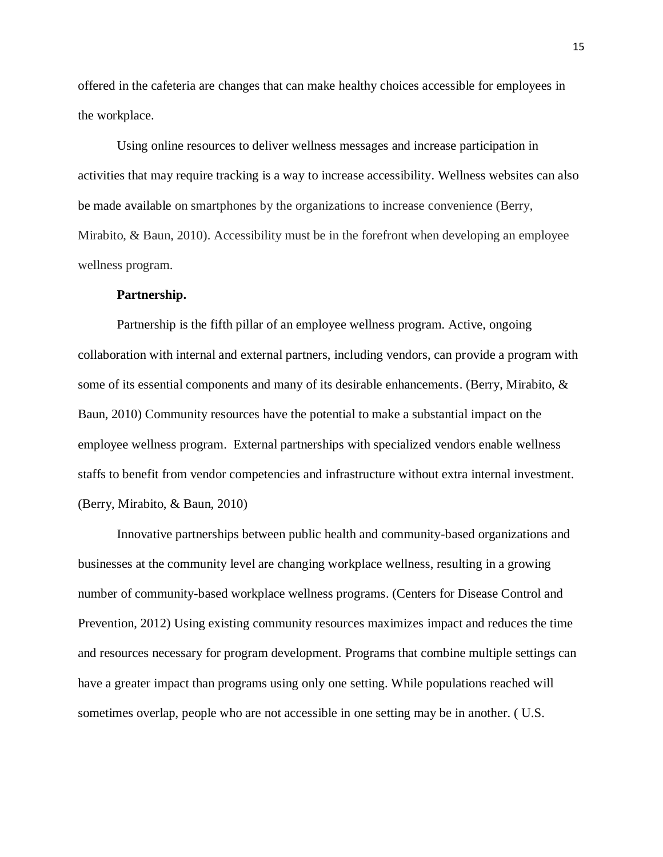offered in the cafeteria are changes that can make healthy choices accessible for employees in the workplace.

Using online resources to deliver wellness messages and increase participation in activities that may require tracking is a way to increase accessibility. Wellness websites can also be made available on smartphones by the organizations to increase convenience (Berry, Mirabito, & Baun, 2010). Accessibility must be in the forefront when developing an employee wellness program.

#### **Partnership.**

Partnership is the fifth pillar of an employee wellness program. Active, ongoing collaboration with internal and external partners, including vendors, can provide a program with some of its essential components and many of its desirable enhancements. (Berry, Mirabito, & Baun, 2010) Community resources have the potential to make a substantial impact on the employee wellness program. External partnerships with specialized vendors enable wellness staffs to benefit from vendor competencies and infrastructure without extra internal investment. (Berry, Mirabito, & Baun, 2010)

Innovative partnerships between public health and community-based organizations and businesses at the community level are changing workplace wellness, resulting in a growing number of community-based workplace wellness programs. (Centers for Disease Control and Prevention, 2012) Using existing community resources maximizes impact and reduces the time and resources necessary for program development. Programs that combine multiple settings can have a greater impact than programs using only one setting. While populations reached will sometimes overlap, people who are not accessible in one setting may be in another. ( U.S.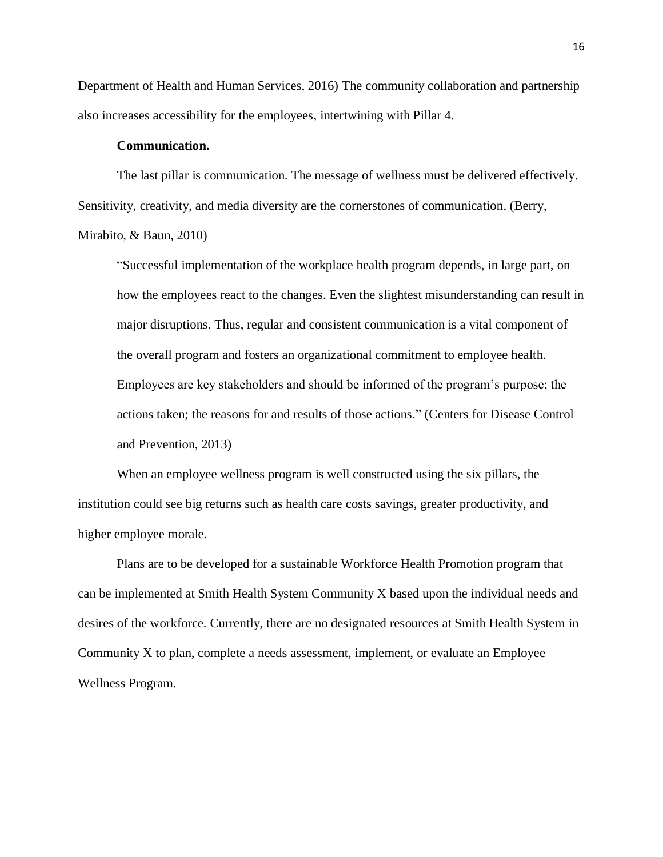Department of Health and Human Services, 2016) The community collaboration and partnership also increases accessibility for the employees, intertwining with Pillar 4.

#### **Communication.**

The last pillar is communication. The message of wellness must be delivered effectively. Sensitivity, creativity, and media diversity are the cornerstones of communication. (Berry, Mirabito, & Baun, 2010)

"Successful implementation of the workplace health program depends, in large part, on how the employees react to the changes. Even the slightest misunderstanding can result in major disruptions. Thus, regular and consistent communication is a vital component of the overall program and fosters an organizational commitment to employee health. Employees are key stakeholders and should be informed of the program's purpose; the actions taken; the reasons for and results of those actions." (Centers for Disease Control and Prevention, 2013)

When an employee wellness program is well constructed using the six pillars, the institution could see big returns such as health care costs savings, greater productivity, and higher employee morale.

Plans are to be developed for a sustainable Workforce Health Promotion program that can be implemented at Smith Health System Community X based upon the individual needs and desires of the workforce. Currently, there are no designated resources at Smith Health System in Community X to plan, complete a needs assessment, implement, or evaluate an Employee Wellness Program.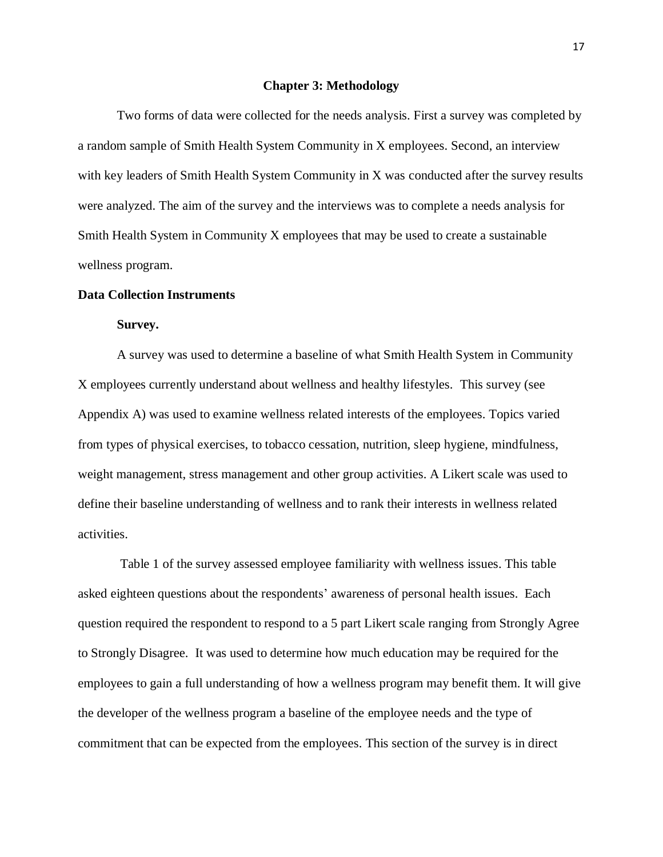#### **Chapter 3: Methodology**

Two forms of data were collected for the needs analysis. First a survey was completed by a random sample of Smith Health System Community in X employees. Second, an interview with key leaders of Smith Health System Community in X was conducted after the survey results were analyzed. The aim of the survey and the interviews was to complete a needs analysis for Smith Health System in Community X employees that may be used to create a sustainable wellness program.

#### **Data Collection Instruments**

#### **Survey.**

A survey was used to determine a baseline of what Smith Health System in Community X employees currently understand about wellness and healthy lifestyles. This survey (see Appendix A) was used to examine wellness related interests of the employees. Topics varied from types of physical exercises, to tobacco cessation, nutrition, sleep hygiene, mindfulness, weight management, stress management and other group activities. A Likert scale was used to define their baseline understanding of wellness and to rank their interests in wellness related activities.

Table 1 of the survey assessed employee familiarity with wellness issues. This table asked eighteen questions about the respondents' awareness of personal health issues. Each question required the respondent to respond to a 5 part Likert scale ranging from Strongly Agree to Strongly Disagree. It was used to determine how much education may be required for the employees to gain a full understanding of how a wellness program may benefit them. It will give the developer of the wellness program a baseline of the employee needs and the type of commitment that can be expected from the employees. This section of the survey is in direct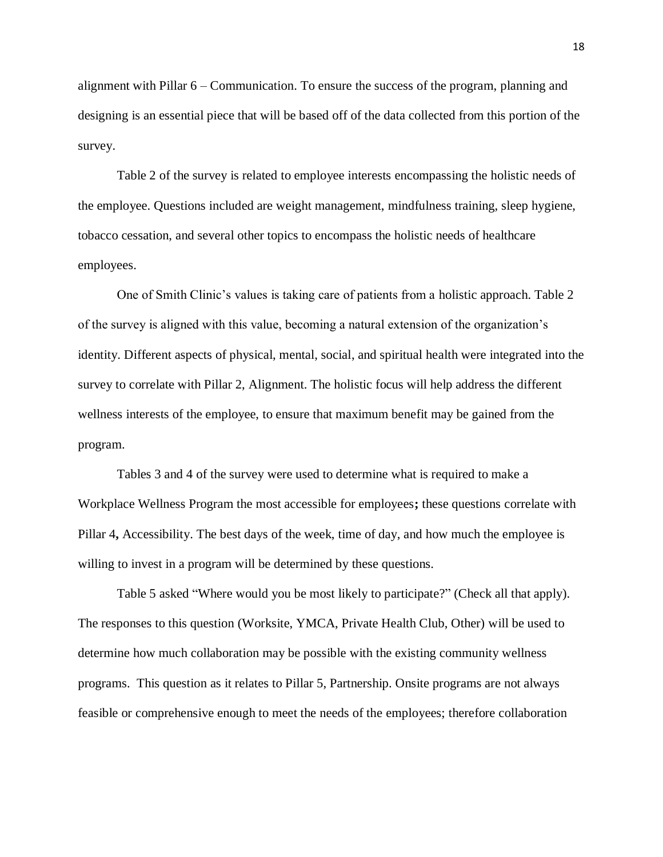alignment with Pillar 6 – Communication. To ensure the success of the program, planning and designing is an essential piece that will be based off of the data collected from this portion of the survey.

Table 2 of the survey is related to employee interests encompassing the holistic needs of the employee. Questions included are weight management, mindfulness training, sleep hygiene, tobacco cessation, and several other topics to encompass the holistic needs of healthcare employees.

One of Smith Clinic's values is taking care of patients from a holistic approach. Table 2 of the survey is aligned with this value, becoming a natural extension of the organization's identity. Different aspects of physical, mental, social, and spiritual health were integrated into the survey to correlate with Pillar 2, Alignment. The holistic focus will help address the different wellness interests of the employee, to ensure that maximum benefit may be gained from the program.

Tables 3 and 4 of the survey were used to determine what is required to make a Workplace Wellness Program the most accessible for employees**;** these questions correlate with Pillar 4**,** Accessibility. The best days of the week, time of day, and how much the employee is willing to invest in a program will be determined by these questions.

Table 5 asked "Where would you be most likely to participate?" (Check all that apply). The responses to this question (Worksite, YMCA, Private Health Club, Other) will be used to determine how much collaboration may be possible with the existing community wellness programs. This question as it relates to Pillar 5, Partnership. Onsite programs are not always feasible or comprehensive enough to meet the needs of the employees; therefore collaboration

18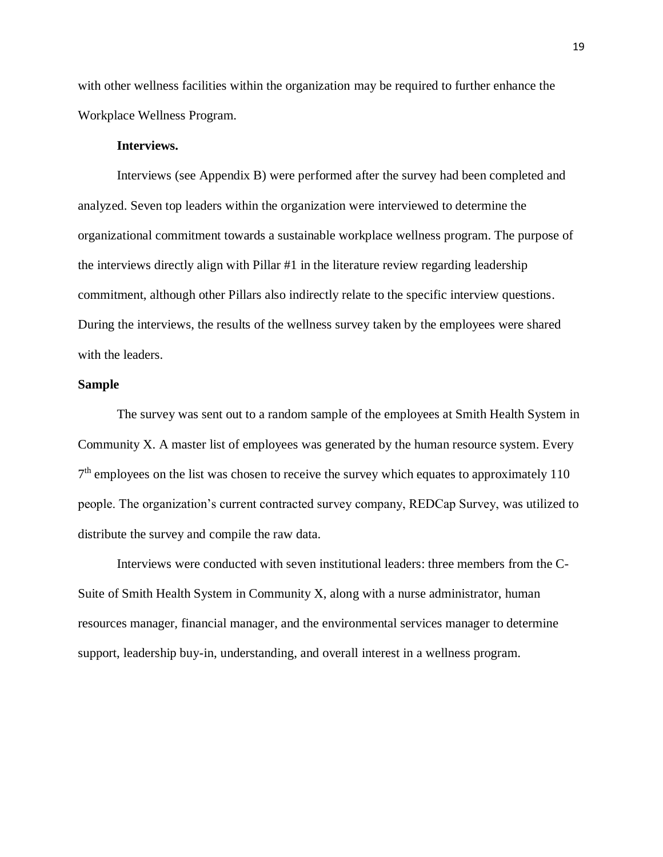with other wellness facilities within the organization may be required to further enhance the Workplace Wellness Program.

#### **Interviews.**

Interviews (see Appendix B) were performed after the survey had been completed and analyzed. Seven top leaders within the organization were interviewed to determine the organizational commitment towards a sustainable workplace wellness program. The purpose of the interviews directly align with Pillar #1 in the literature review regarding leadership commitment, although other Pillars also indirectly relate to the specific interview questions. During the interviews, the results of the wellness survey taken by the employees were shared with the leaders.

#### **Sample**

The survey was sent out to a random sample of the employees at Smith Health System in Community X. A master list of employees was generated by the human resource system. Every  $7<sup>th</sup>$  employees on the list was chosen to receive the survey which equates to approximately 110 people. The organization's current contracted survey company, REDCap Survey, was utilized to distribute the survey and compile the raw data.

Interviews were conducted with seven institutional leaders: three members from the C-Suite of Smith Health System in Community X, along with a nurse administrator, human resources manager, financial manager, and the environmental services manager to determine support, leadership buy-in, understanding, and overall interest in a wellness program.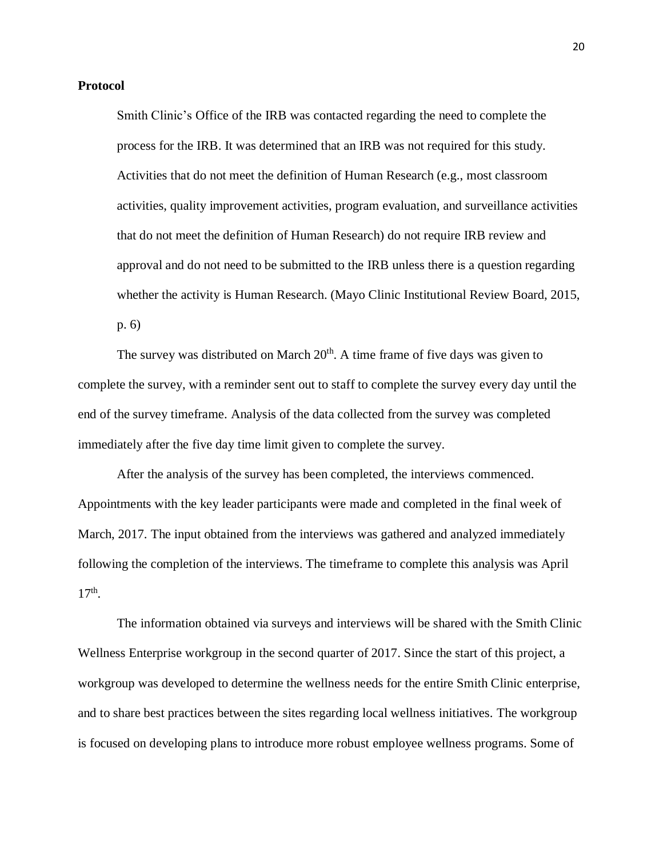#### **Protocol**

Smith Clinic's Office of the IRB was contacted regarding the need to complete the process for the IRB. It was determined that an IRB was not required for this study. Activities that do not meet the definition of Human Research (e.g., most classroom activities, quality improvement activities, program evaluation, and surveillance activities that do not meet the definition of Human Research) do not require IRB review and approval and do not need to be submitted to the IRB unless there is a question regarding whether the activity is Human Research. (Mayo Clinic Institutional Review Board, 2015, p. 6)

The survey was distributed on March  $20<sup>th</sup>$ . A time frame of five days was given to complete the survey, with a reminder sent out to staff to complete the survey every day until the end of the survey timeframe. Analysis of the data collected from the survey was completed immediately after the five day time limit given to complete the survey.

After the analysis of the survey has been completed, the interviews commenced. Appointments with the key leader participants were made and completed in the final week of March, 2017. The input obtained from the interviews was gathered and analyzed immediately following the completion of the interviews. The timeframe to complete this analysis was April 17<sup>th</sup>.

The information obtained via surveys and interviews will be shared with the Smith Clinic Wellness Enterprise workgroup in the second quarter of 2017. Since the start of this project, a workgroup was developed to determine the wellness needs for the entire Smith Clinic enterprise, and to share best practices between the sites regarding local wellness initiatives. The workgroup is focused on developing plans to introduce more robust employee wellness programs. Some of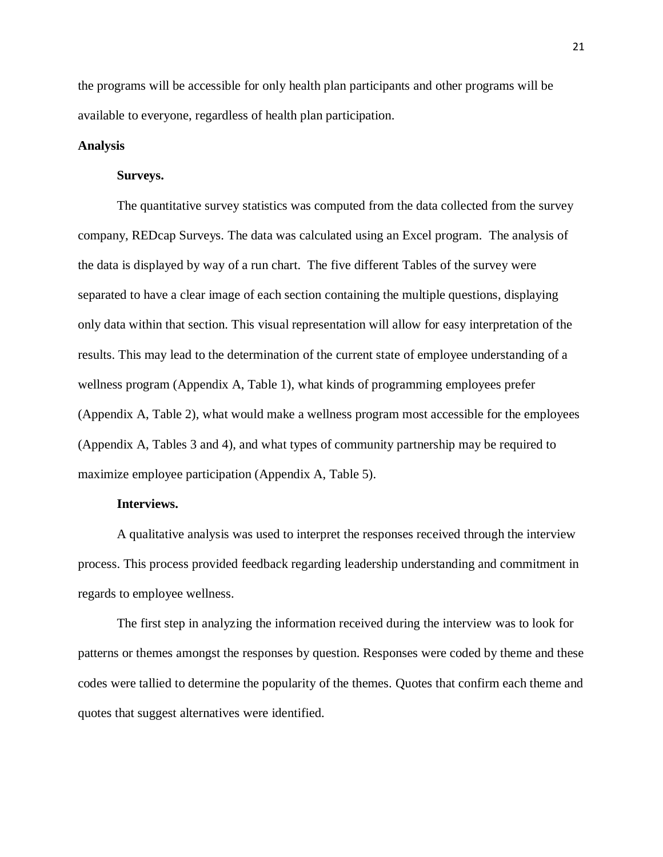the programs will be accessible for only health plan participants and other programs will be available to everyone, regardless of health plan participation.

#### **Analysis**

#### **Surveys.**

The quantitative survey statistics was computed from the data collected from the survey company, REDcap Surveys. The data was calculated using an Excel program. The analysis of the data is displayed by way of a run chart. The five different Tables of the survey were separated to have a clear image of each section containing the multiple questions, displaying only data within that section. This visual representation will allow for easy interpretation of the results. This may lead to the determination of the current state of employee understanding of a wellness program (Appendix A, Table 1), what kinds of programming employees prefer (Appendix A, Table 2), what would make a wellness program most accessible for the employees (Appendix A, Tables 3 and 4), and what types of community partnership may be required to maximize employee participation (Appendix A, Table 5).

#### **Interviews.**

A qualitative analysis was used to interpret the responses received through the interview process. This process provided feedback regarding leadership understanding and commitment in regards to employee wellness.

The first step in analyzing the information received during the interview was to look for patterns or themes amongst the responses by question. Responses were coded by theme and these codes were tallied to determine the popularity of the themes. Quotes that confirm each theme and quotes that suggest alternatives were identified.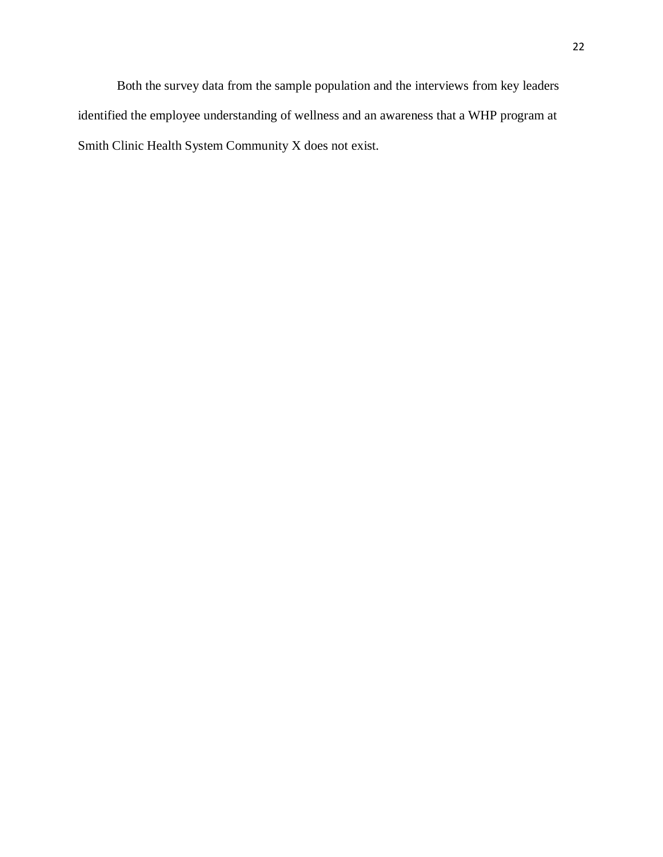Both the survey data from the sample population and the interviews from key leaders identified the employee understanding of wellness and an awareness that a WHP program at Smith Clinic Health System Community X does not exist.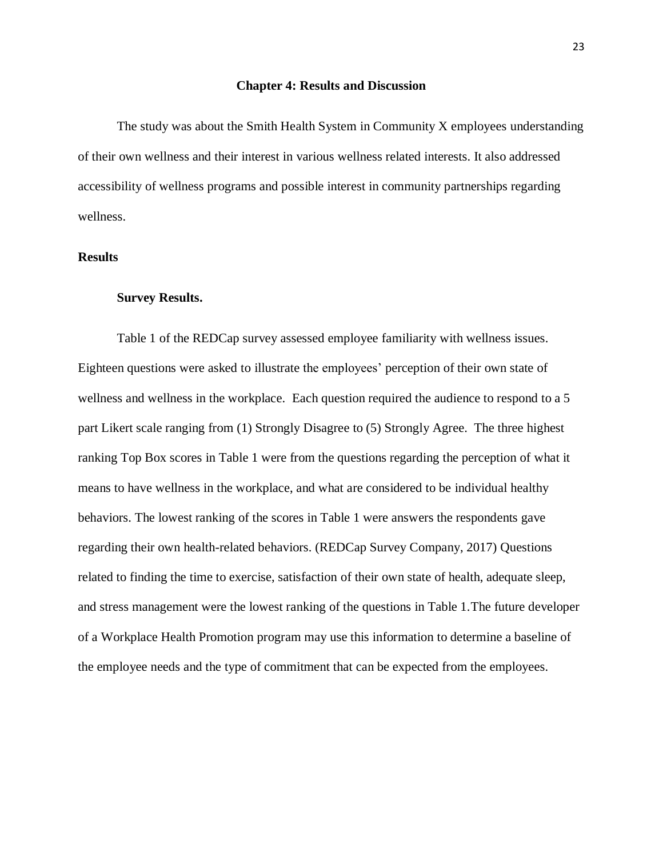#### **Chapter 4: Results and Discussion**

The study was about the Smith Health System in Community X employees understanding of their own wellness and their interest in various wellness related interests. It also addressed accessibility of wellness programs and possible interest in community partnerships regarding wellness.

#### **Results**

#### **Survey Results.**

Table 1 of the REDCap survey assessed employee familiarity with wellness issues. Eighteen questions were asked to illustrate the employees' perception of their own state of wellness and wellness in the workplace. Each question required the audience to respond to a 5 part Likert scale ranging from (1) Strongly Disagree to (5) Strongly Agree. The three highest ranking Top Box scores in Table 1 were from the questions regarding the perception of what it means to have wellness in the workplace, and what are considered to be individual healthy behaviors. The lowest ranking of the scores in Table 1 were answers the respondents gave regarding their own health-related behaviors. (REDCap Survey Company, 2017) Questions related to finding the time to exercise, satisfaction of their own state of health, adequate sleep, and stress management were the lowest ranking of the questions in Table 1.The future developer of a Workplace Health Promotion program may use this information to determine a baseline of the employee needs and the type of commitment that can be expected from the employees.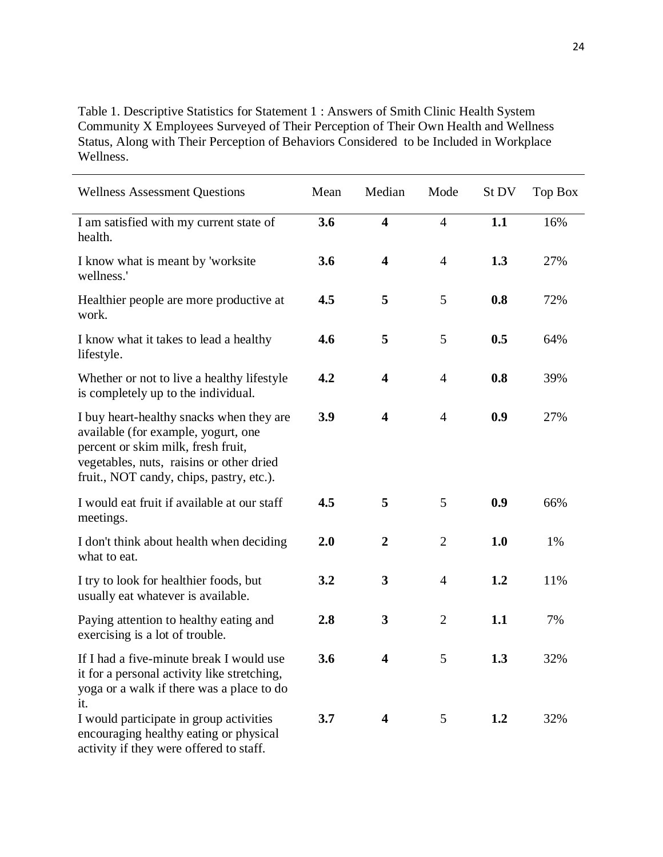Table 1. Descriptive Statistics for Statement 1 : Answers of Smith Clinic Health System Community X Employees Surveyed of Their Perception of Their Own Health and Wellness Status, Along with Their Perception of Behaviors Considered to be Included in Workplace Wellness.

| <b>Wellness Assessment Questions</b>                                                                                                                                                                          | Mean | Median                  | Mode           | St DV | Top Box |
|---------------------------------------------------------------------------------------------------------------------------------------------------------------------------------------------------------------|------|-------------------------|----------------|-------|---------|
| I am satisfied with my current state of<br>health.                                                                                                                                                            | 3.6  | $\overline{\mathbf{4}}$ | $\overline{4}$ | 1.1   | 16%     |
| I know what is meant by 'worksite<br>wellness.'                                                                                                                                                               | 3.6  | $\overline{\mathbf{4}}$ | $\overline{4}$ | 1.3   | 27%     |
| Healthier people are more productive at<br>work.                                                                                                                                                              | 4.5  | 5                       | 5              | 0.8   | 72%     |
| I know what it takes to lead a healthy<br>lifestyle.                                                                                                                                                          | 4.6  | 5                       | 5              | 0.5   | 64%     |
| Whether or not to live a healthy lifestyle<br>is completely up to the individual.                                                                                                                             | 4.2  | $\overline{\mathbf{4}}$ | $\overline{4}$ | 0.8   | 39%     |
| I buy heart-healthy snacks when they are<br>available (for example, yogurt, one<br>percent or skim milk, fresh fruit,<br>vegetables, nuts, raisins or other dried<br>fruit., NOT candy, chips, pastry, etc.). | 3.9  | $\overline{\mathbf{4}}$ | $\overline{4}$ | 0.9   | 27%     |
| I would eat fruit if available at our staff<br>meetings.                                                                                                                                                      | 4.5  | 5                       | 5              | 0.9   | 66%     |
| I don't think about health when deciding<br>what to eat.                                                                                                                                                      | 2.0  | $\overline{2}$          | $\overline{2}$ | 1.0   | 1%      |
| I try to look for healthier foods, but<br>usually eat whatever is available.                                                                                                                                  | 3.2  | $\overline{\mathbf{3}}$ | $\overline{4}$ | 1.2   | 11%     |
| Paying attention to healthy eating and<br>exercising is a lot of trouble.                                                                                                                                     | 2.8  | $\overline{\mathbf{3}}$ | $\overline{2}$ | 1.1   | 7%      |
| If I had a five-minute break I would use<br>it for a personal activity like stretching,<br>yoga or a walk if there was a place to do<br>it.                                                                   | 3.6  | $\overline{\mathbf{4}}$ | 5              | 1.3   | 32%     |
| I would participate in group activities<br>encouraging healthy eating or physical<br>activity if they were offered to staff.                                                                                  | 3.7  | $\overline{\mathbf{4}}$ | 5              | 1.2   | 32%     |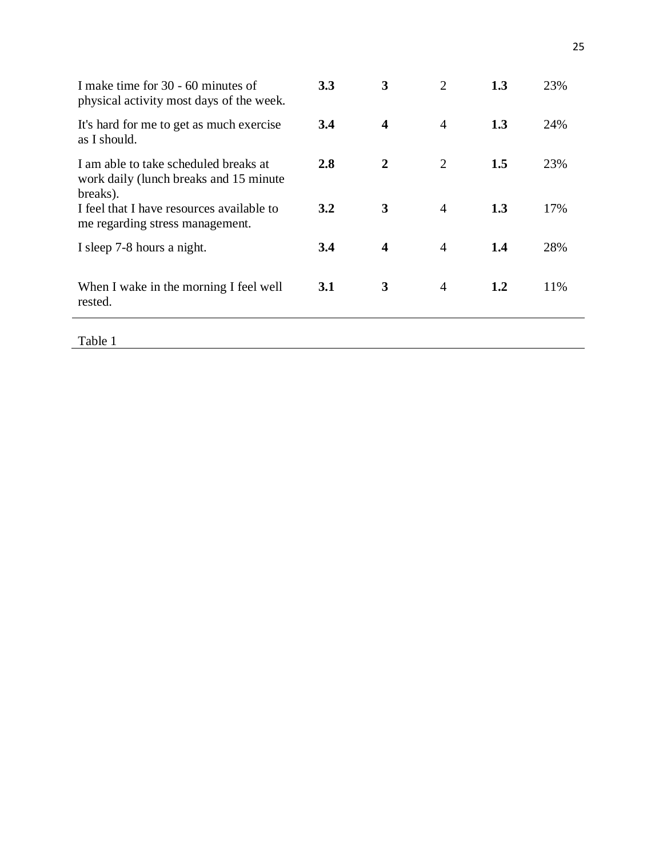| I make time for 30 - 60 minutes of<br>physical activity most days of the week.               | 3.3        | 3                       | 2              | 1.3 | 23% |
|----------------------------------------------------------------------------------------------|------------|-------------------------|----------------|-----|-----|
| It's hard for me to get as much exercise<br>as I should.                                     | 3.4        | $\overline{\mathbf{4}}$ | $\overline{4}$ | 1.3 | 24% |
| I am able to take scheduled breaks at<br>work daily (lunch breaks and 15 minute)<br>breaks). | 2.8        | $\overline{2}$          | 2              | 1.5 | 23% |
| I feel that I have resources available to<br>me regarding stress management.                 | 3.2        | 3                       | 4              | 1.3 | 17% |
| I sleep 7-8 hours a night.                                                                   | 3.4        | $\overline{\mathbf{4}}$ | 4              | 1.4 | 28% |
| When I wake in the morning I feel well<br>rested.                                            | <b>3.1</b> | 3                       | $\overline{4}$ | 1.2 | 11% |

Table 1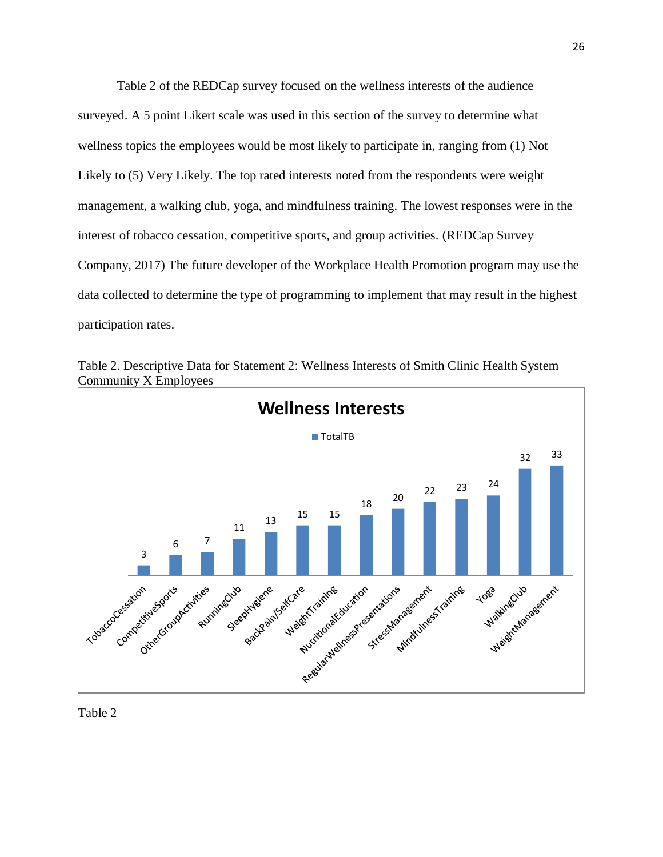Table 2 of the REDCap survey focused on the wellness interests of the audience surveyed. A 5 point Likert scale was used in this section of the survey to determine what wellness topics the employees would be most likely to participate in, ranging from (1) Not Likely to (5) Very Likely. The top rated interests noted from the respondents were weight management, a walking club, yoga, and mindfulness training. The lowest responses were in the interest of tobacco cessation, competitive sports, and group activities. (REDCap Survey Company, 2017) The future developer of the Workplace Health Promotion program may use the data collected to determine the type of programming to implement that may result in the highest participation rates.

Table 2. Descriptive Data for Statement 2: Wellness Interests of Smith Clinic Health System Community X Employees



Table 2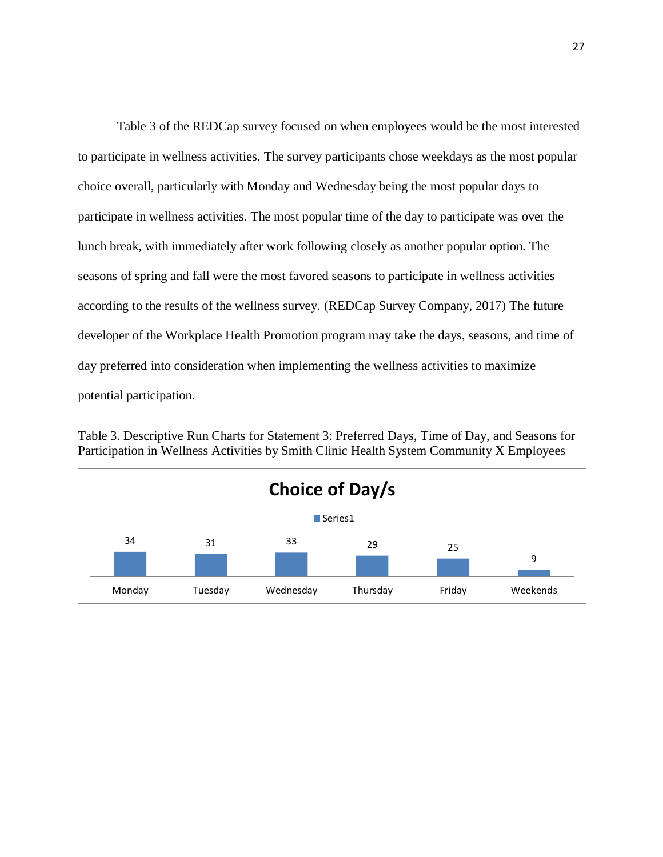Table 3 of the REDCap survey focused on when employees would be the most interested to participate in wellness activities. The survey participants chose weekdays as the most popular choice overall, particularly with Monday and Wednesday being the most popular days to participate in wellness activities. The most popular time of the day to participate was over the lunch break, with immediately after work following closely as another popular option. The seasons of spring and fall were the most favored seasons to participate in wellness activities according to the results of the wellness survey. (REDCap Survey Company, 2017) The future developer of the Workplace Health Promotion program may take the days, seasons, and time of day preferred into consideration when implementing the wellness activities to maximize potential participation.

34 31 33 29 25 9 **Choice of Day/s** Series1

Table 3. Descriptive Run Charts for Statement 3: Preferred Days, Time of Day, and Seasons for Participation in Wellness Activities by Smith Clinic Health System Community X Employees

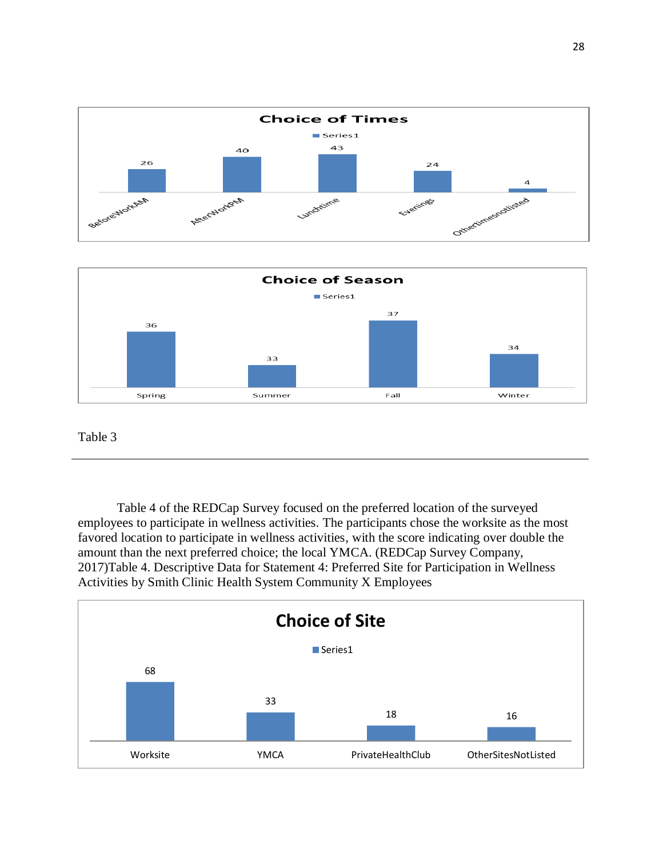



#### Table 3

Table 4 of the REDCap Survey focused on the preferred location of the surveyed employees to participate in wellness activities. The participants chose the worksite as the most favored location to participate in wellness activities, with the score indicating over double the amount than the next preferred choice; the local YMCA. (REDCap Survey Company, 2017)Table 4. Descriptive Data for Statement 4: Preferred Site for Participation in Wellness Activities by Smith Clinic Health System Community X Employees

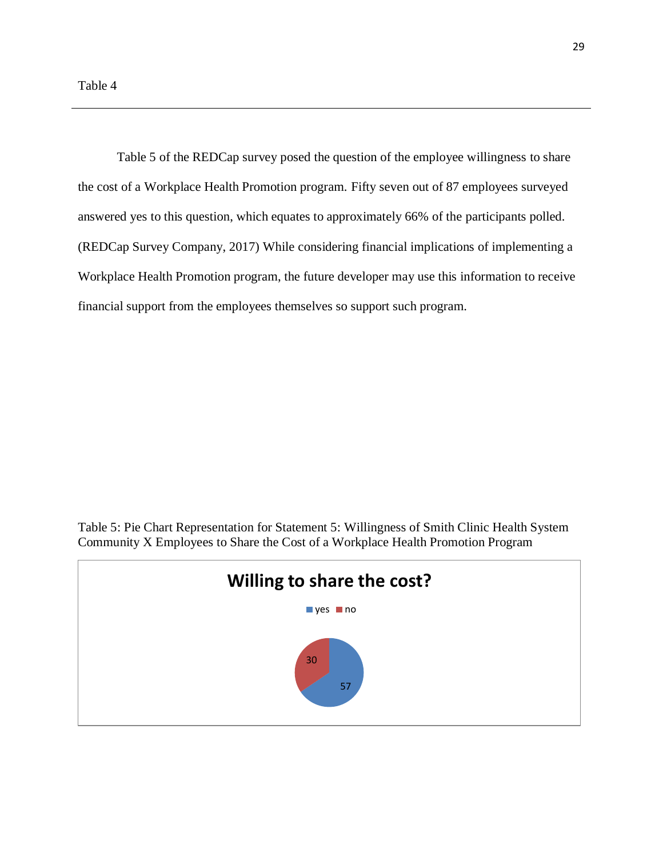Table 5 of the REDCap survey posed the question of the employee willingness to share the cost of a Workplace Health Promotion program. Fifty seven out of 87 employees surveyed answered yes to this question, which equates to approximately 66% of the participants polled. (REDCap Survey Company, 2017) While considering financial implications of implementing a Workplace Health Promotion program, the future developer may use this information to receive financial support from the employees themselves so support such program.

Table 5: Pie Chart Representation for Statement 5: Willingness of Smith Clinic Health System Community X Employees to Share the Cost of a Workplace Health Promotion Program

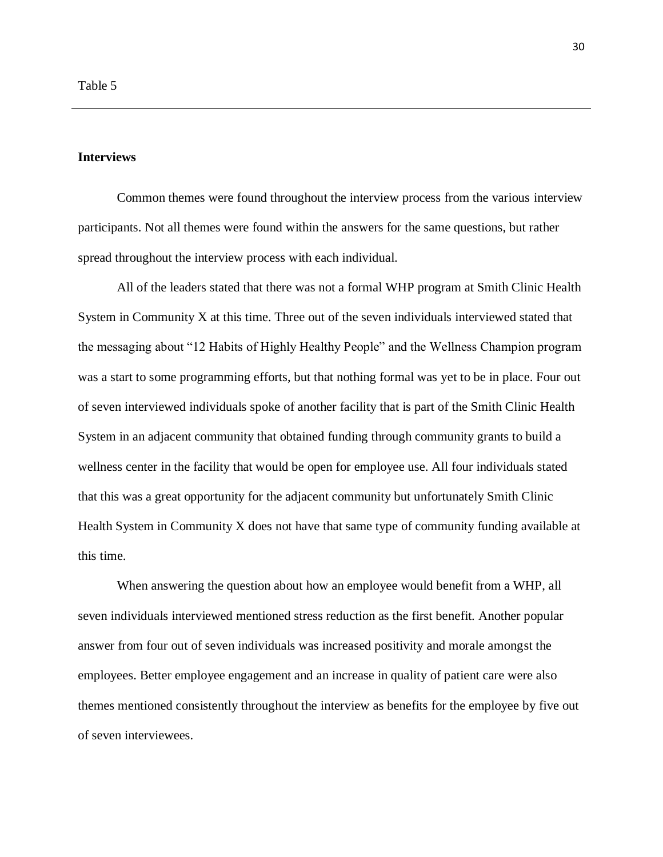#### **Interviews**

Common themes were found throughout the interview process from the various interview participants. Not all themes were found within the answers for the same questions, but rather spread throughout the interview process with each individual.

All of the leaders stated that there was not a formal WHP program at Smith Clinic Health System in Community X at this time. Three out of the seven individuals interviewed stated that the messaging about "12 Habits of Highly Healthy People" and the Wellness Champion program was a start to some programming efforts, but that nothing formal was yet to be in place. Four out of seven interviewed individuals spoke of another facility that is part of the Smith Clinic Health System in an adjacent community that obtained funding through community grants to build a wellness center in the facility that would be open for employee use. All four individuals stated that this was a great opportunity for the adjacent community but unfortunately Smith Clinic Health System in Community X does not have that same type of community funding available at this time.

When answering the question about how an employee would benefit from a WHP, all seven individuals interviewed mentioned stress reduction as the first benefit. Another popular answer from four out of seven individuals was increased positivity and morale amongst the employees. Better employee engagement and an increase in quality of patient care were also themes mentioned consistently throughout the interview as benefits for the employee by five out of seven interviewees.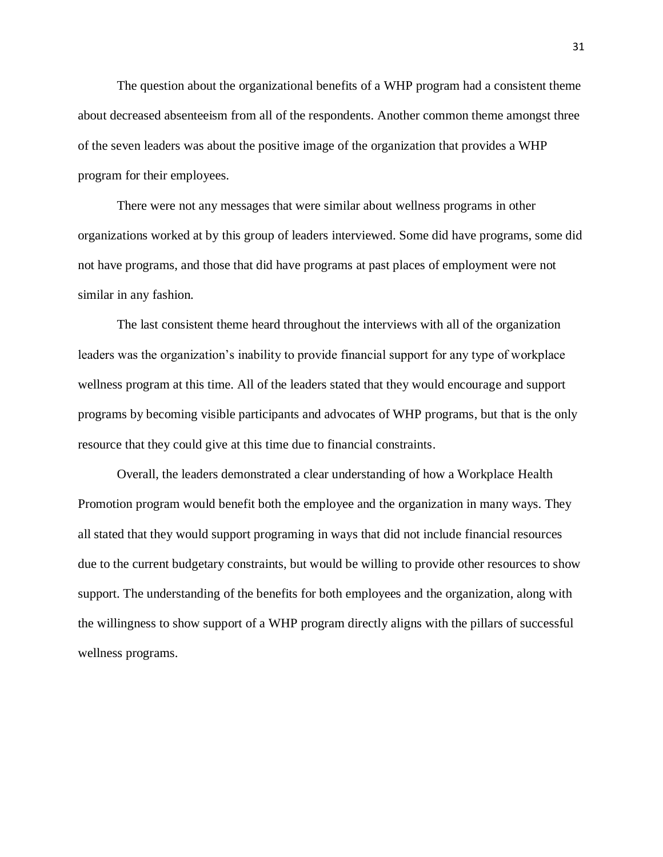The question about the organizational benefits of a WHP program had a consistent theme about decreased absenteeism from all of the respondents. Another common theme amongst three of the seven leaders was about the positive image of the organization that provides a WHP program for their employees.

There were not any messages that were similar about wellness programs in other organizations worked at by this group of leaders interviewed. Some did have programs, some did not have programs, and those that did have programs at past places of employment were not similar in any fashion.

The last consistent theme heard throughout the interviews with all of the organization leaders was the organization's inability to provide financial support for any type of workplace wellness program at this time. All of the leaders stated that they would encourage and support programs by becoming visible participants and advocates of WHP programs, but that is the only resource that they could give at this time due to financial constraints.

Overall, the leaders demonstrated a clear understanding of how a Workplace Health Promotion program would benefit both the employee and the organization in many ways. They all stated that they would support programing in ways that did not include financial resources due to the current budgetary constraints, but would be willing to provide other resources to show support. The understanding of the benefits for both employees and the organization, along with the willingness to show support of a WHP program directly aligns with the pillars of successful wellness programs.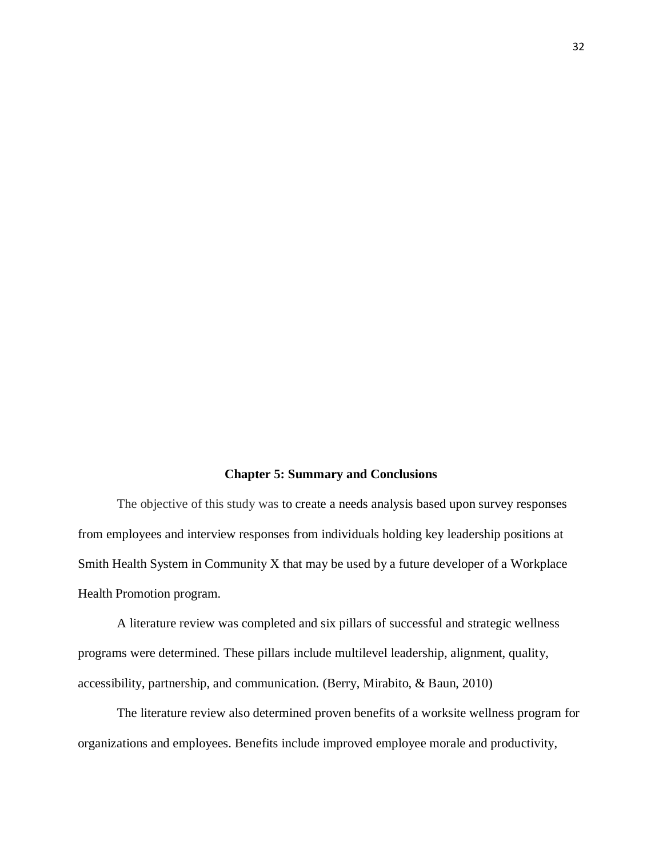#### **Chapter 5: Summary and Conclusions**

The objective of this study was to create a needs analysis based upon survey responses from employees and interview responses from individuals holding key leadership positions at Smith Health System in Community X that may be used by a future developer of a Workplace Health Promotion program.

A literature review was completed and six pillars of successful and strategic wellness programs were determined. These pillars include multilevel leadership, alignment, quality, accessibility, partnership, and communication. (Berry, Mirabito, & Baun, 2010)

The literature review also determined proven benefits of a worksite wellness program for organizations and employees. Benefits include improved employee morale and productivity,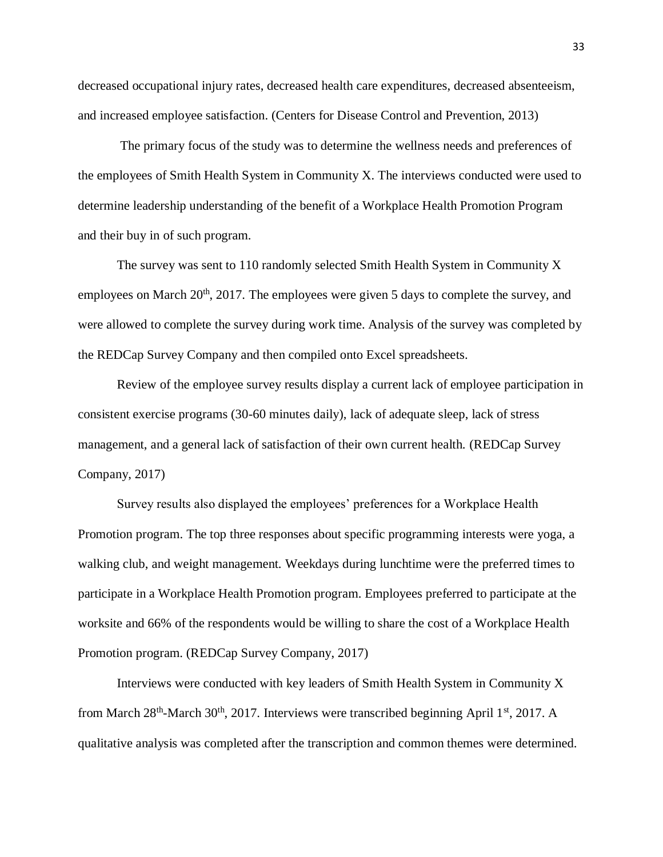decreased occupational injury rates, decreased health care expenditures, decreased absenteeism, and increased employee satisfaction. (Centers for Disease Control and Prevention, 2013)

The primary focus of the study was to determine the wellness needs and preferences of the employees of Smith Health System in Community X. The interviews conducted were used to determine leadership understanding of the benefit of a Workplace Health Promotion Program and their buy in of such program.

The survey was sent to 110 randomly selected Smith Health System in Community X employees on March  $20<sup>th</sup>$ ,  $2017$ . The employees were given 5 days to complete the survey, and were allowed to complete the survey during work time. Analysis of the survey was completed by the REDCap Survey Company and then compiled onto Excel spreadsheets.

Review of the employee survey results display a current lack of employee participation in consistent exercise programs (30-60 minutes daily), lack of adequate sleep, lack of stress management, and a general lack of satisfaction of their own current health. (REDCap Survey Company, 2017)

Survey results also displayed the employees' preferences for a Workplace Health Promotion program. The top three responses about specific programming interests were yoga, a walking club, and weight management. Weekdays during lunchtime were the preferred times to participate in a Workplace Health Promotion program. Employees preferred to participate at the worksite and 66% of the respondents would be willing to share the cost of a Workplace Health Promotion program. (REDCap Survey Company, 2017)

Interviews were conducted with key leaders of Smith Health System in Community X from March 28<sup>th</sup>-March 30<sup>th</sup>, 2017. Interviews were transcribed beginning April 1<sup>st</sup>, 2017. A qualitative analysis was completed after the transcription and common themes were determined.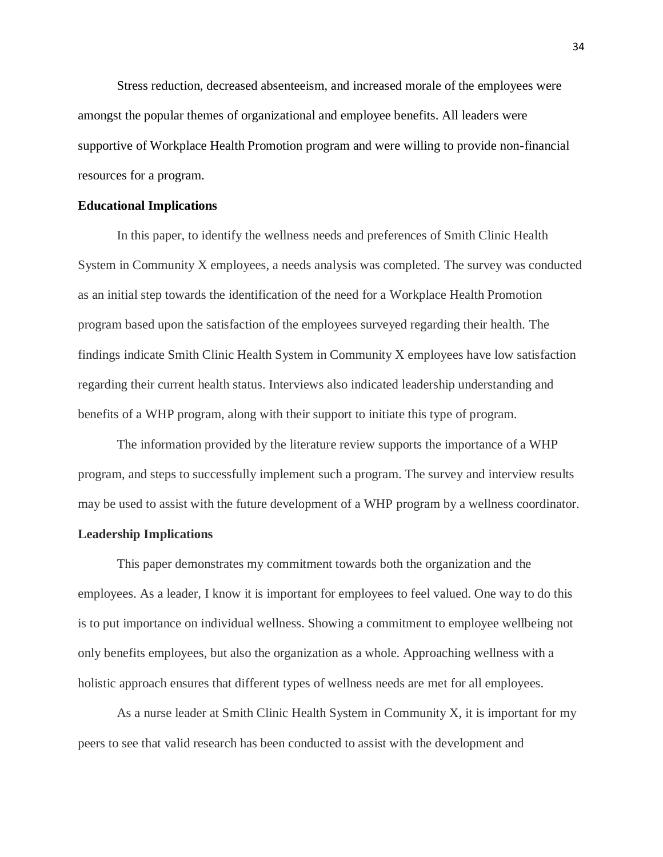Stress reduction, decreased absenteeism, and increased morale of the employees were amongst the popular themes of organizational and employee benefits. All leaders were supportive of Workplace Health Promotion program and were willing to provide non-financial resources for a program.

#### **Educational Implications**

In this paper, to identify the wellness needs and preferences of Smith Clinic Health System in Community X employees, a needs analysis was completed. The survey was conducted as an initial step towards the identification of the need for a Workplace Health Promotion program based upon the satisfaction of the employees surveyed regarding their health. The findings indicate Smith Clinic Health System in Community X employees have low satisfaction regarding their current health status. Interviews also indicated leadership understanding and benefits of a WHP program, along with their support to initiate this type of program.

The information provided by the literature review supports the importance of a WHP program, and steps to successfully implement such a program. The survey and interview results may be used to assist with the future development of a WHP program by a wellness coordinator.

#### **Leadership Implications**

This paper demonstrates my commitment towards both the organization and the employees. As a leader, I know it is important for employees to feel valued. One way to do this is to put importance on individual wellness. Showing a commitment to employee wellbeing not only benefits employees, but also the organization as a whole. Approaching wellness with a holistic approach ensures that different types of wellness needs are met for all employees.

As a nurse leader at Smith Clinic Health System in Community X, it is important for my peers to see that valid research has been conducted to assist with the development and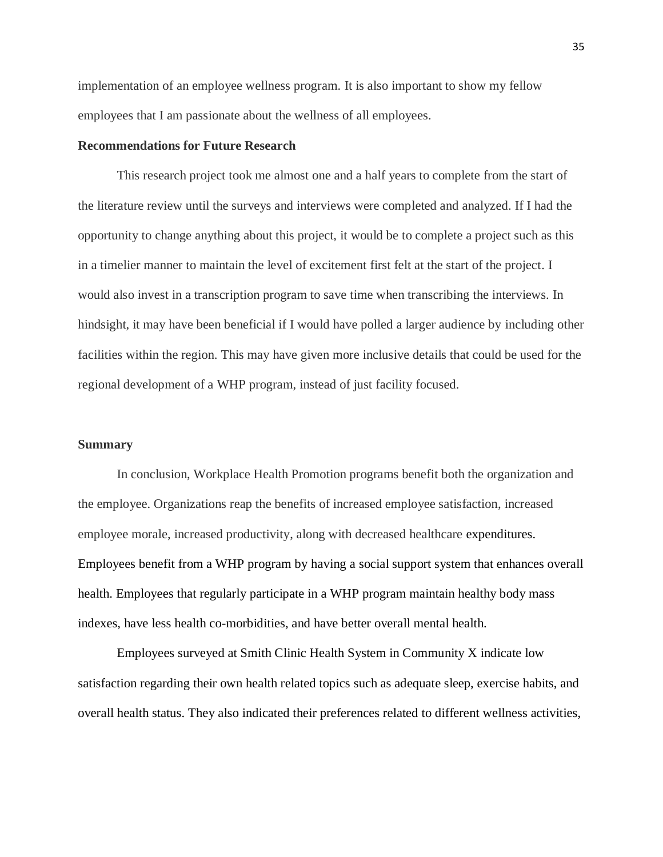implementation of an employee wellness program. It is also important to show my fellow employees that I am passionate about the wellness of all employees.

#### **Recommendations for Future Research**

This research project took me almost one and a half years to complete from the start of the literature review until the surveys and interviews were completed and analyzed. If I had the opportunity to change anything about this project, it would be to complete a project such as this in a timelier manner to maintain the level of excitement first felt at the start of the project. I would also invest in a transcription program to save time when transcribing the interviews. In hindsight, it may have been beneficial if I would have polled a larger audience by including other facilities within the region. This may have given more inclusive details that could be used for the regional development of a WHP program, instead of just facility focused.

#### **Summary**

In conclusion, Workplace Health Promotion programs benefit both the organization and the employee. Organizations reap the benefits of increased employee satisfaction, increased employee morale, increased productivity, along with decreased healthcare expenditures. Employees benefit from a WHP program by having a social support system that enhances overall health. Employees that regularly participate in a WHP program maintain healthy body mass indexes, have less health co-morbidities, and have better overall mental health.

Employees surveyed at Smith Clinic Health System in Community X indicate low satisfaction regarding their own health related topics such as adequate sleep, exercise habits, and overall health status. They also indicated their preferences related to different wellness activities,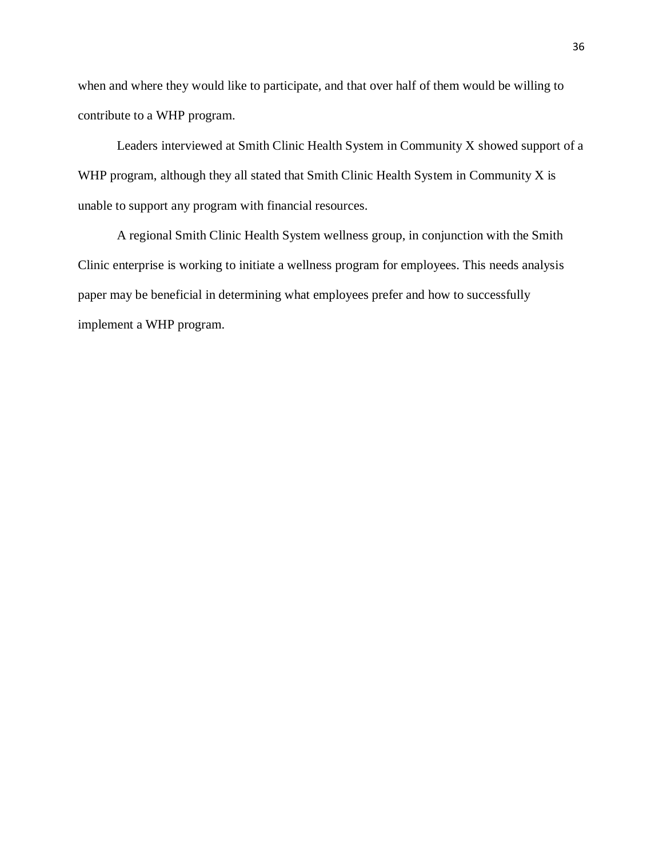when and where they would like to participate, and that over half of them would be willing to contribute to a WHP program.

Leaders interviewed at Smith Clinic Health System in Community X showed support of a WHP program, although they all stated that Smith Clinic Health System in Community X is unable to support any program with financial resources.

A regional Smith Clinic Health System wellness group, in conjunction with the Smith Clinic enterprise is working to initiate a wellness program for employees. This needs analysis paper may be beneficial in determining what employees prefer and how to successfully implement a WHP program.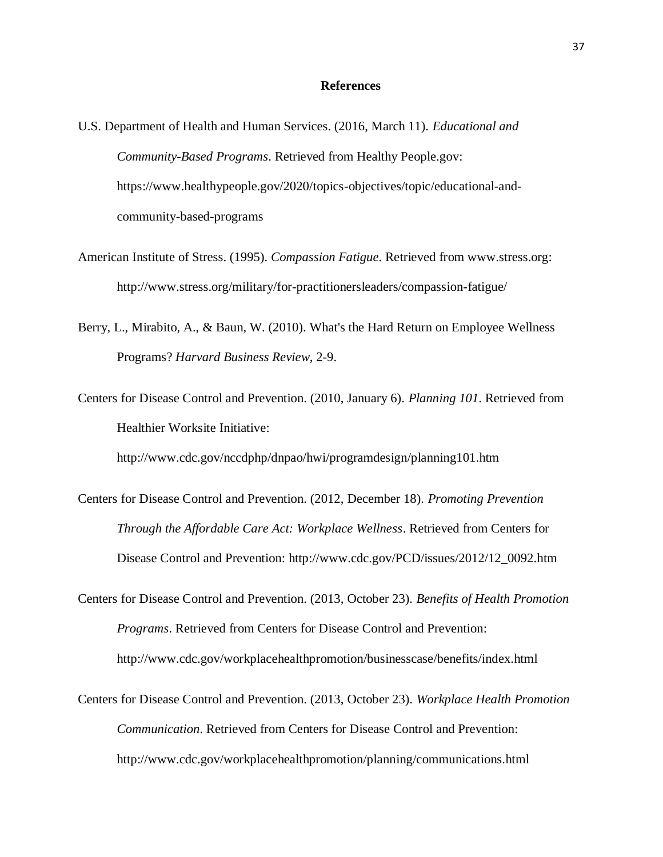#### **References**

- U.S. Department of Health and Human Services. (2016, March 11). *Educational and Community-Based Programs*. Retrieved from Healthy People.gov: https://www.healthypeople.gov/2020/topics-objectives/topic/educational-andcommunity-based-programs
- American Institute of Stress. (1995). *Compassion Fatigue*. Retrieved from www.stress.org: http://www.stress.org/military/for-practitionersleaders/compassion-fatigue/
- Berry, L., Mirabito, A., & Baun, W. (2010). What's the Hard Return on Employee Wellness Programs? *Harvard Business Review*, 2-9.
- Centers for Disease Control and Prevention. (2010, January 6). *Planning 101*. Retrieved from Healthier Worksite Initiative:

http://www.cdc.gov/nccdphp/dnpao/hwi/programdesign/planning101.htm

- Centers for Disease Control and Prevention. (2012, December 18). *Promoting Prevention Through the Affordable Care Act: Workplace Wellness*. Retrieved from Centers for Disease Control and Prevention: http://www.cdc.gov/PCD/issues/2012/12\_0092.htm
- Centers for Disease Control and Prevention. (2013, October 23). *Benefits of Health Promotion Programs*. Retrieved from Centers for Disease Control and Prevention: http://www.cdc.gov/workplacehealthpromotion/businesscase/benefits/index.html
- Centers for Disease Control and Prevention. (2013, October 23). *Workplace Health Promotion Communication*. Retrieved from Centers for Disease Control and Prevention: http://www.cdc.gov/workplacehealthpromotion/planning/communications.html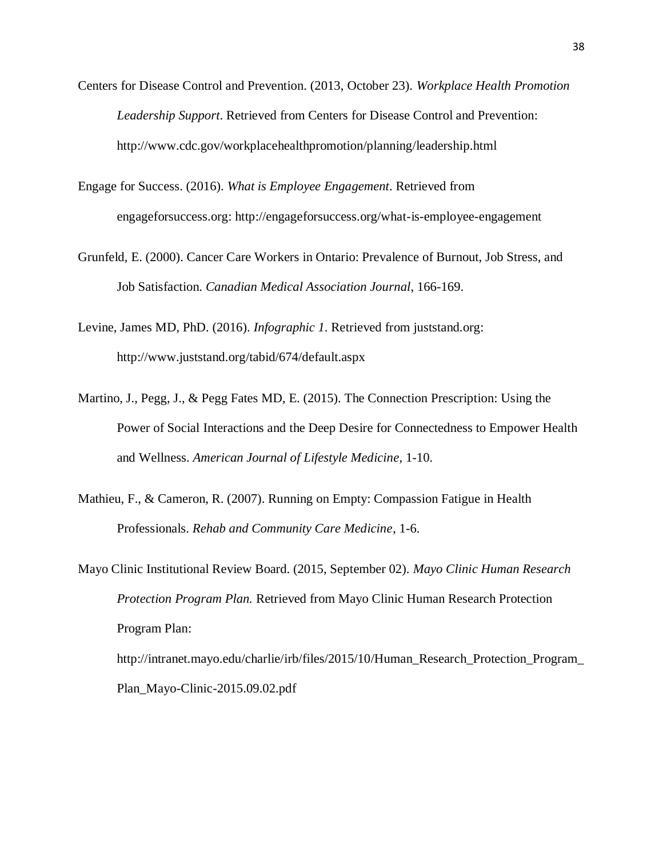- Centers for Disease Control and Prevention. (2013, October 23). *Workplace Health Promotion Leadership Support*. Retrieved from Centers for Disease Control and Prevention: http://www.cdc.gov/workplacehealthpromotion/planning/leadership.html
- Engage for Success. (2016). *What is Employee Engagement*. Retrieved from engageforsuccess.org: http://engageforsuccess.org/what-is-employee-engagement
- Grunfeld, E. (2000). Cancer Care Workers in Ontario: Prevalence of Burnout, Job Stress, and Job Satisfaction. *Canadian Medical Association Journal*, 166-169.
- Levine, James MD, PhD. (2016). *Infographic 1*. Retrieved from juststand.org: http://www.juststand.org/tabid/674/default.aspx
- Martino, J., Pegg, J., & Pegg Fates MD, E. (2015). The Connection Prescription: Using the Power of Social Interactions and the Deep Desire for Connectedness to Empower Health and Wellness. *American Journal of Lifestyle Medicine*, 1-10.
- Mathieu, F., & Cameron, R. (2007). Running on Empty: Compassion Fatigue in Health Professionals. *Rehab and Community Care Medicine*, 1-6.

Mayo Clinic Institutional Review Board. (2015, September 02). *Mayo Clinic Human Research Protection Program Plan.* Retrieved from Mayo Clinic Human Research Protection Program Plan: http://intranet.mayo.edu/charlie/irb/files/2015/10/Human\_Research\_Protection\_Program\_ Plan\_Mayo-Clinic-2015.09.02.pdf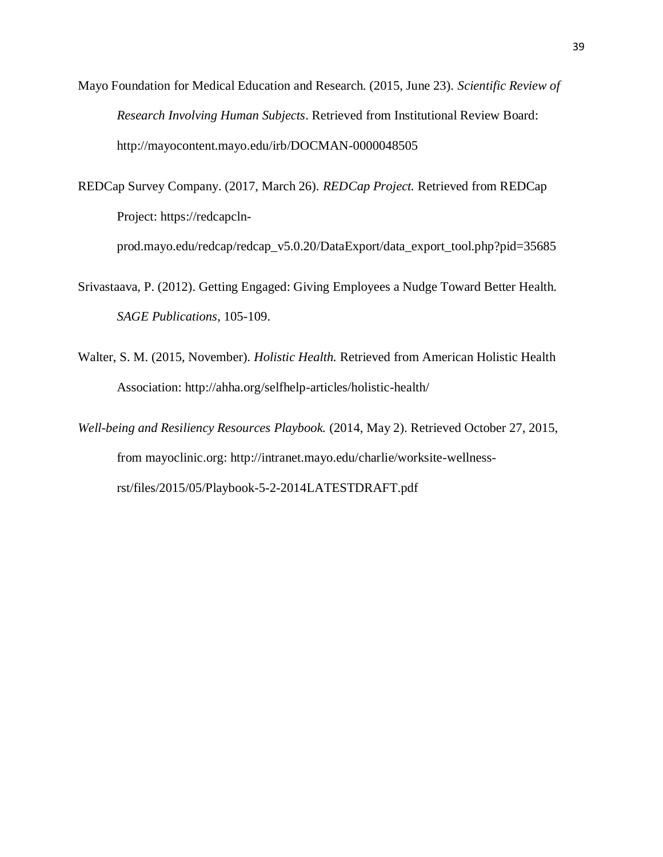- Mayo Foundation for Medical Education and Research. (2015, June 23). *Scientific Review of Research Involving Human Subjects*. Retrieved from Institutional Review Board: http://mayocontent.mayo.edu/irb/DOCMAN-0000048505
- REDCap Survey Company. (2017, March 26). *REDCap Project.* Retrieved from REDCap Project: https://redcapclnprod.mayo.edu/redcap/redcap\_v5.0.20/DataExport/data\_export\_tool.php?pid=35685
- Srivastaava, P. (2012). Getting Engaged: Giving Employees a Nudge Toward Better Health. *SAGE Publications*, 105-109.
- Walter, S. M. (2015, November). *Holistic Health.* Retrieved from American Holistic Health Association: http://ahha.org/selfhelp-articles/holistic-health/
- *Well-being and Resiliency Resources Playbook.* (2014, May 2). Retrieved October 27, 2015, from mayoclinic.org: http://intranet.mayo.edu/charlie/worksite-wellnessrst/files/2015/05/Playbook-5-2-2014LATESTDRAFT.pdf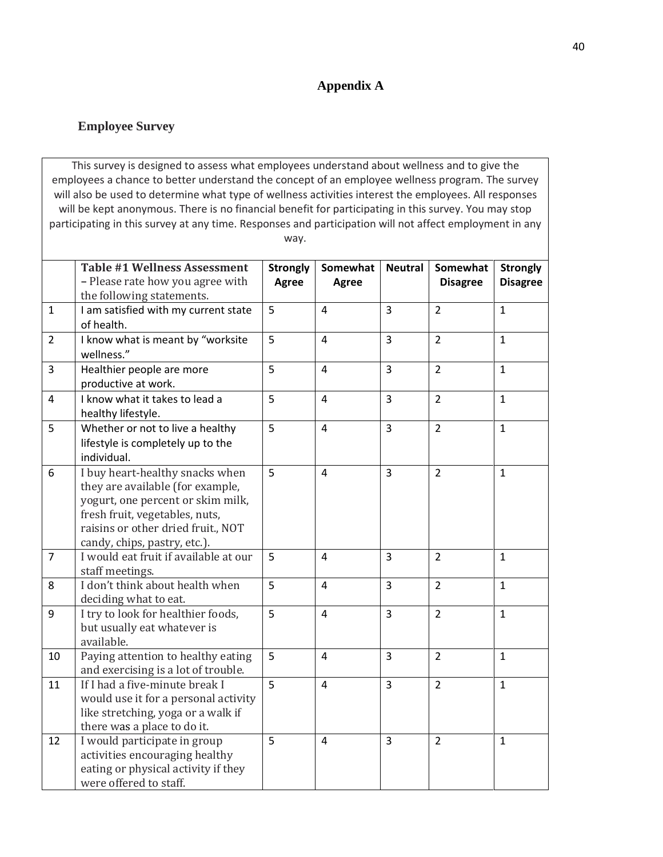## **Appendix A**

### **Employee Survey**

This survey is designed to assess what employees understand about wellness and to give the employees a chance to better understand the concept of an employee wellness program. The survey will also be used to determine what type of wellness activities interest the employees. All responses will be kept anonymous. There is no financial benefit for participating in this survey. You may stop participating in this survey at any time. Responses and participation will not affect employment in any way.

|                | <b>Table #1 Wellness Assessment</b>   | <b>Strongly</b> | Somewhat       | <b>Neutral</b> | Somewhat        | <b>Strongly</b> |
|----------------|---------------------------------------|-----------------|----------------|----------------|-----------------|-----------------|
|                | - Please rate how you agree with      | Agree           | Agree          |                | <b>Disagree</b> | <b>Disagree</b> |
|                | the following statements.             |                 |                |                |                 |                 |
| $\mathbf{1}$   | I am satisfied with my current state  | 5               | $\overline{4}$ | $\overline{3}$ | $\overline{2}$  | $\mathbf{1}$    |
|                | of health.                            |                 |                |                |                 |                 |
| $\overline{2}$ | I know what is meant by "worksite     | 5               | $\overline{4}$ | 3              | $\overline{2}$  | $\mathbf{1}$    |
|                | wellness."                            |                 |                |                |                 |                 |
| $\overline{3}$ | Healthier people are more             | 5               | $\overline{4}$ | $\overline{3}$ | $\overline{2}$  | $\mathbf{1}$    |
|                | productive at work.                   |                 |                |                |                 |                 |
| $\overline{4}$ | I know what it takes to lead a        | 5               | 4              | $\overline{3}$ | $\overline{2}$  | $\mathbf{1}$    |
|                | healthy lifestyle.                    |                 |                |                |                 |                 |
| 5              | Whether or not to live a healthy      | 5               | $\overline{4}$ | 3              | $\overline{2}$  | $\mathbf{1}$    |
|                | lifestyle is completely up to the     |                 |                |                |                 |                 |
|                | individual.                           |                 |                |                |                 |                 |
| 6              | I buy heart-healthy snacks when       | 5               | 4              | $\overline{3}$ | $\overline{2}$  | $\mathbf{1}$    |
|                | they are available (for example,      |                 |                |                |                 |                 |
|                | yogurt, one percent or skim milk,     |                 |                |                |                 |                 |
|                | fresh fruit, vegetables, nuts,        |                 |                |                |                 |                 |
|                | raisins or other dried fruit., NOT    |                 |                |                |                 |                 |
|                | candy, chips, pastry, etc.).          |                 |                |                |                 |                 |
| $\overline{7}$ | I would eat fruit if available at our | 5               | 4              | 3              | $\overline{2}$  | $\mathbf{1}$    |
|                | staff meetings.                       |                 |                |                |                 |                 |
| 8              | I don't think about health when       | 5               | 4              | 3              | $\overline{2}$  | $\mathbf{1}$    |
|                | deciding what to eat.                 |                 |                |                |                 |                 |
| 9              | I try to look for healthier foods,    | 5               | $\overline{4}$ | 3              | $\overline{2}$  | $\mathbf{1}$    |
|                | but usually eat whatever is           |                 |                |                |                 |                 |
|                | available.                            |                 |                |                |                 |                 |
| 10             | Paying attention to healthy eating    | 5               | 4              | $\overline{3}$ | $\overline{2}$  | $\mathbf{1}$    |
|                | and exercising is a lot of trouble.   |                 |                |                |                 |                 |
| 11             | If I had a five-minute break I        | $\overline{5}$  | $\overline{4}$ | 3              | $\overline{2}$  | $\mathbf{1}$    |
|                | would use it for a personal activity  |                 |                |                |                 |                 |
|                | like stretching, yoga or a walk if    |                 |                |                |                 |                 |
|                | there was a place to do it.           |                 |                |                |                 |                 |
| 12             | I would participate in group          | 5               | $\overline{4}$ | $\overline{3}$ | $\overline{2}$  | $\mathbf{1}$    |
|                | activities encouraging healthy        |                 |                |                |                 |                 |
|                | eating or physical activity if they   |                 |                |                |                 |                 |
|                | were offered to staff.                |                 |                |                |                 |                 |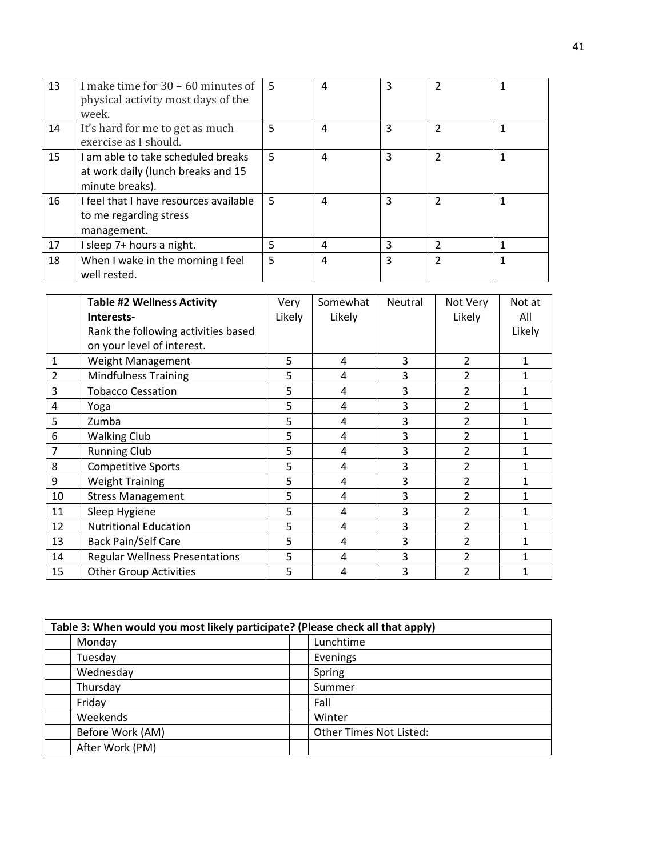| 13 | I make time for $30 - 60$ minutes of<br>physical activity most days of the<br>week.         | .5 | 4 | 3 | 2              |  |
|----|---------------------------------------------------------------------------------------------|----|---|---|----------------|--|
| 14 | It's hard for me to get as much<br>exercise as I should.                                    | 5  | 4 | 3 | $\mathfrak{p}$ |  |
| 15 | I am able to take scheduled breaks<br>at work daily (lunch breaks and 15<br>minute breaks). | 5  | 4 | 3 | $\mathfrak z$  |  |
| 16 | I feel that I have resources available<br>to me regarding stress<br>management.             | .5 | 4 | 3 | $\mathcal{P}$  |  |
| 17 | I sleep 7+ hours a night.                                                                   | 5  | 4 | 3 | 2              |  |
| 18 | When I wake in the morning I feel<br>well rested.                                           | 5  | 4 | 3 | $\mathfrak z$  |  |

|                | <b>Table #2 Wellness Activity</b>     | Very   | Somewhat | Neutral | Not Very       | Not at |
|----------------|---------------------------------------|--------|----------|---------|----------------|--------|
|                | Interests-                            | Likely | Likely   |         | Likely         | All    |
|                | Rank the following activities based   |        |          |         |                | Likely |
|                | on your level of interest.            |        |          |         |                |        |
| 1              | Weight Management                     | 5      | 4        | 3       | $\overline{2}$ |        |
| $\overline{2}$ | <b>Mindfulness Training</b>           | 5      | 4        | 3       | 2              |        |
| 3              | <b>Tobacco Cessation</b>              | 5      | 4        | 3       | 2              |        |
| 4              | Yoga                                  | 5      | 4        | 3       | 2              |        |
| 5              | Zumba                                 | 5      | 4        | 3       | $\overline{2}$ |        |
| 6              | <b>Walking Club</b>                   | 5      | 4        | 3       | 2              |        |
| 7              | <b>Running Club</b>                   | 5      | 4        | 3       | 2              |        |
| 8              | <b>Competitive Sports</b>             | 5      | 4        | 3       | 2              |        |
| 9              | <b>Weight Training</b>                | 5      | 4        | 3       | $\overline{2}$ | 1      |
| 10             | <b>Stress Management</b>              | 5      | 4        | 3       | 2              |        |
| 11             | Sleep Hygiene                         | 5      | 4        | 3       | $\overline{2}$ |        |
| 12             | <b>Nutritional Education</b>          | 5      | 4        | 3       | $\overline{2}$ |        |
| 13             | <b>Back Pain/Self Care</b>            | 5      | 4        | 3       | $\overline{2}$ |        |
| 14             | <b>Regular Wellness Presentations</b> | 5      | 4        | 3       | $\overline{2}$ |        |
| 15             | <b>Other Group Activities</b>         | 5      | 4        | 3       | $\overline{2}$ |        |

| Table 3: When would you most likely participate? (Please check all that apply) |                         |  |  |
|--------------------------------------------------------------------------------|-------------------------|--|--|
| Monday                                                                         | Lunchtime               |  |  |
| Tuesday                                                                        | Evenings                |  |  |
| Wednesday                                                                      | Spring                  |  |  |
| Thursday                                                                       | Summer                  |  |  |
| Friday                                                                         | Fall                    |  |  |
| Weekends                                                                       | Winter                  |  |  |
| Before Work (AM)                                                               | Other Times Not Listed: |  |  |
| After Work (PM)                                                                |                         |  |  |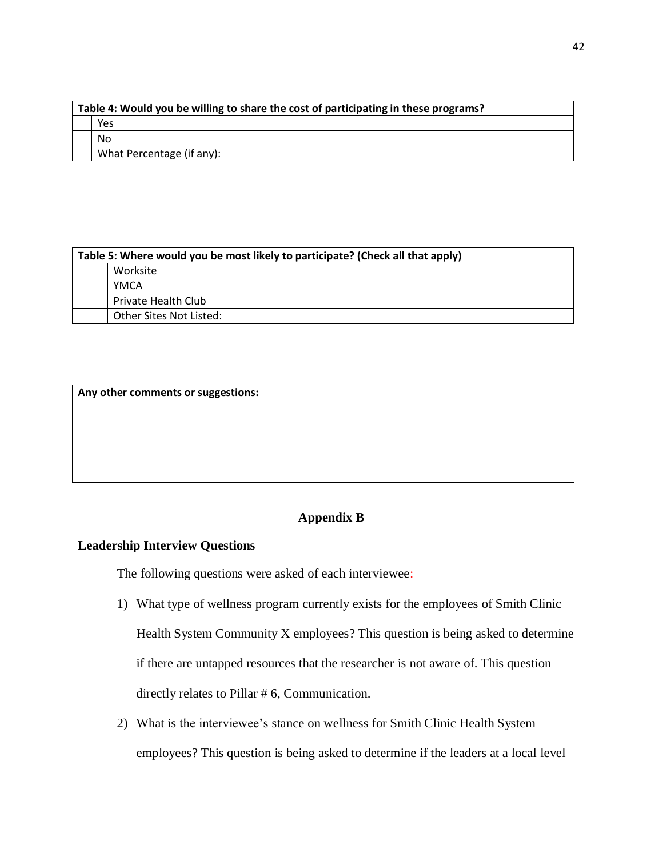| Table 4: Would you be willing to share the cost of participating in these programs? |  |  |
|-------------------------------------------------------------------------------------|--|--|
| Yes                                                                                 |  |  |
| No                                                                                  |  |  |
| What Percentage (if any):                                                           |  |  |

| Table 5: Where would you be most likely to participate? (Check all that apply) |  |  |
|--------------------------------------------------------------------------------|--|--|
| Worksite                                                                       |  |  |
| <b>YMCA</b>                                                                    |  |  |
| Private Health Club                                                            |  |  |
| Other Sites Not Listed:                                                        |  |  |

**Any other comments or suggestions:**

## **Appendix B**

## **Leadership Interview Questions**

The following questions were asked of each interviewee:

- 1) What type of wellness program currently exists for the employees of Smith Clinic Health System Community X employees? This question is being asked to determine if there are untapped resources that the researcher is not aware of. This question directly relates to Pillar # 6, Communication.
- 2) What is the interviewee's stance on wellness for Smith Clinic Health System employees? This question is being asked to determine if the leaders at a local level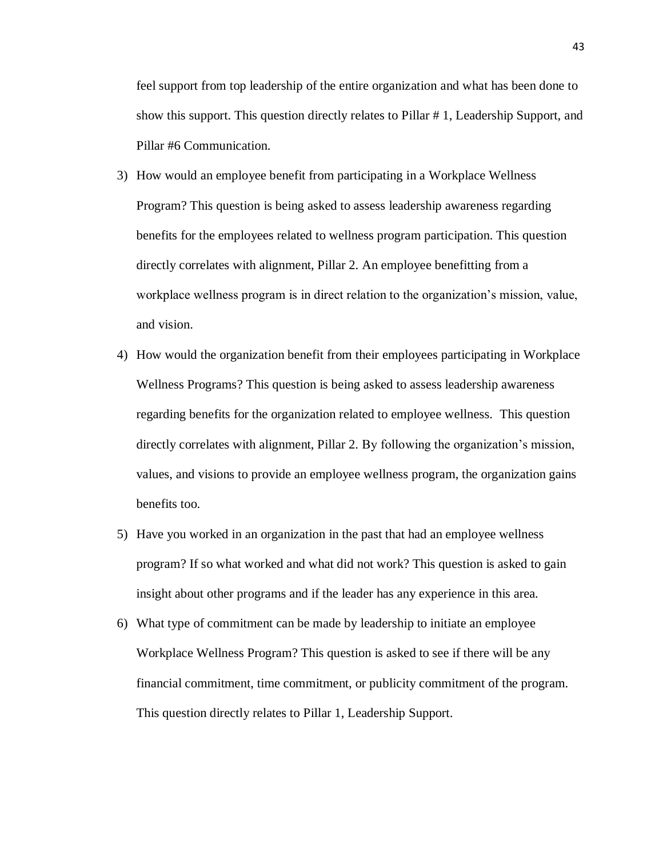feel support from top leadership of the entire organization and what has been done to show this support. This question directly relates to Pillar # 1, Leadership Support, and Pillar #6 Communication.

- 3) How would an employee benefit from participating in a Workplace Wellness Program? This question is being asked to assess leadership awareness regarding benefits for the employees related to wellness program participation. This question directly correlates with alignment, Pillar 2. An employee benefitting from a workplace wellness program is in direct relation to the organization's mission, value, and vision.
- 4) How would the organization benefit from their employees participating in Workplace Wellness Programs? This question is being asked to assess leadership awareness regarding benefits for the organization related to employee wellness. This question directly correlates with alignment, Pillar 2. By following the organization's mission, values, and visions to provide an employee wellness program, the organization gains benefits too.
- 5) Have you worked in an organization in the past that had an employee wellness program? If so what worked and what did not work? This question is asked to gain insight about other programs and if the leader has any experience in this area.
- 6) What type of commitment can be made by leadership to initiate an employee Workplace Wellness Program? This question is asked to see if there will be any financial commitment, time commitment, or publicity commitment of the program. This question directly relates to Pillar 1, Leadership Support.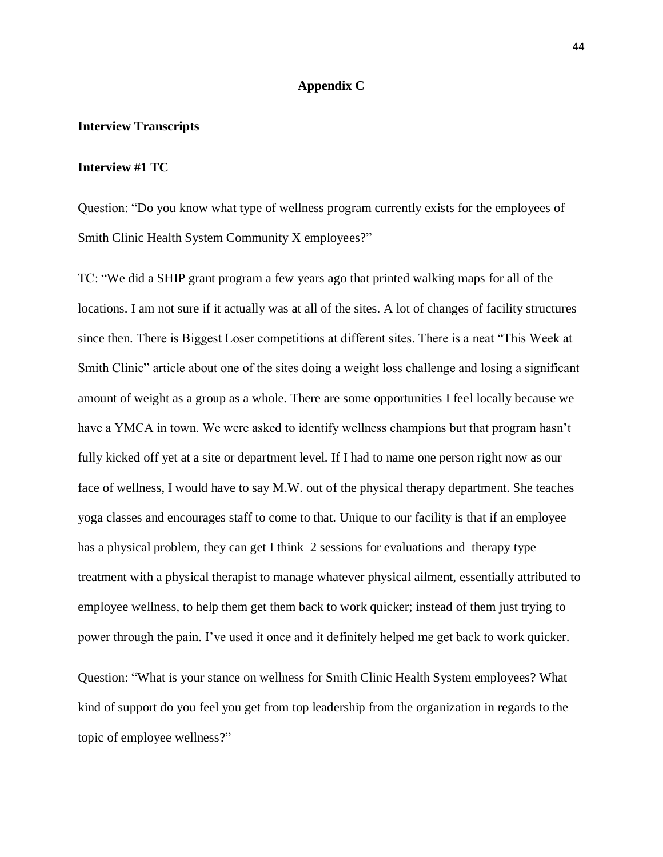#### **Appendix C**

#### **Interview Transcripts**

#### **Interview #1 TC**

Question: "Do you know what type of wellness program currently exists for the employees of Smith Clinic Health System Community X employees?"

TC: "We did a SHIP grant program a few years ago that printed walking maps for all of the locations. I am not sure if it actually was at all of the sites. A lot of changes of facility structures since then. There is Biggest Loser competitions at different sites. There is a neat "This Week at Smith Clinic" article about one of the sites doing a weight loss challenge and losing a significant amount of weight as a group as a whole. There are some opportunities I feel locally because we have a YMCA in town. We were asked to identify wellness champions but that program hasn't fully kicked off yet at a site or department level. If I had to name one person right now as our face of wellness, I would have to say M.W. out of the physical therapy department. She teaches yoga classes and encourages staff to come to that. Unique to our facility is that if an employee has a physical problem, they can get I think 2 sessions for evaluations and therapy type treatment with a physical therapist to manage whatever physical ailment, essentially attributed to employee wellness, to help them get them back to work quicker; instead of them just trying to power through the pain. I've used it once and it definitely helped me get back to work quicker.

Question: "What is your stance on wellness for Smith Clinic Health System employees? What kind of support do you feel you get from top leadership from the organization in regards to the topic of employee wellness?"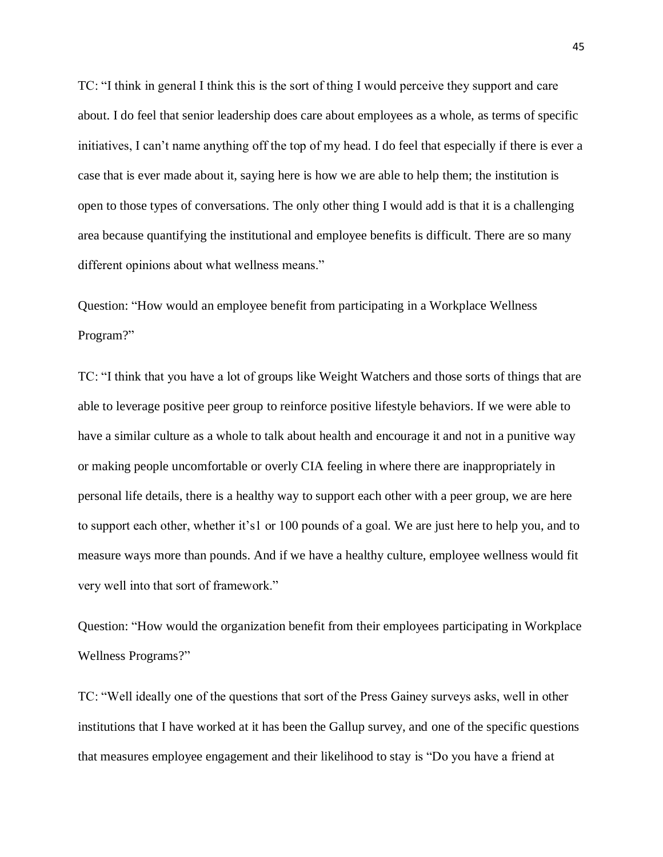TC: "I think in general I think this is the sort of thing I would perceive they support and care about. I do feel that senior leadership does care about employees as a whole, as terms of specific initiatives, I can't name anything off the top of my head. I do feel that especially if there is ever a case that is ever made about it, saying here is how we are able to help them; the institution is open to those types of conversations. The only other thing I would add is that it is a challenging area because quantifying the institutional and employee benefits is difficult. There are so many different opinions about what wellness means."

Question: "How would an employee benefit from participating in a Workplace Wellness Program?"

TC: "I think that you have a lot of groups like Weight Watchers and those sorts of things that are able to leverage positive peer group to reinforce positive lifestyle behaviors. If we were able to have a similar culture as a whole to talk about health and encourage it and not in a punitive way or making people uncomfortable or overly CIA feeling in where there are inappropriately in personal life details, there is a healthy way to support each other with a peer group, we are here to support each other, whether it's1 or 100 pounds of a goal. We are just here to help you, and to measure ways more than pounds. And if we have a healthy culture, employee wellness would fit very well into that sort of framework."

Question: "How would the organization benefit from their employees participating in Workplace Wellness Programs?"

TC: "Well ideally one of the questions that sort of the Press Gainey surveys asks, well in other institutions that I have worked at it has been the Gallup survey, and one of the specific questions that measures employee engagement and their likelihood to stay is "Do you have a friend at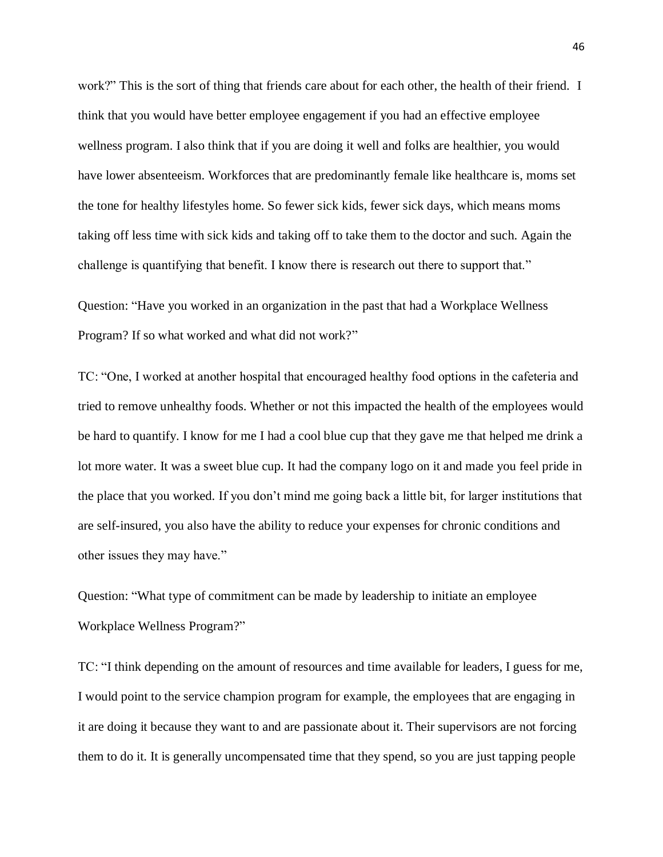work?" This is the sort of thing that friends care about for each other, the health of their friend. I think that you would have better employee engagement if you had an effective employee wellness program. I also think that if you are doing it well and folks are healthier, you would have lower absenteeism. Workforces that are predominantly female like healthcare is, moms set the tone for healthy lifestyles home. So fewer sick kids, fewer sick days, which means moms taking off less time with sick kids and taking off to take them to the doctor and such. Again the challenge is quantifying that benefit. I know there is research out there to support that."

Question: "Have you worked in an organization in the past that had a Workplace Wellness Program? If so what worked and what did not work?"

TC: "One, I worked at another hospital that encouraged healthy food options in the cafeteria and tried to remove unhealthy foods. Whether or not this impacted the health of the employees would be hard to quantify. I know for me I had a cool blue cup that they gave me that helped me drink a lot more water. It was a sweet blue cup. It had the company logo on it and made you feel pride in the place that you worked. If you don't mind me going back a little bit, for larger institutions that are self-insured, you also have the ability to reduce your expenses for chronic conditions and other issues they may have."

Question: "What type of commitment can be made by leadership to initiate an employee Workplace Wellness Program?"

TC: "I think depending on the amount of resources and time available for leaders, I guess for me, I would point to the service champion program for example, the employees that are engaging in it are doing it because they want to and are passionate about it. Their supervisors are not forcing them to do it. It is generally uncompensated time that they spend, so you are just tapping people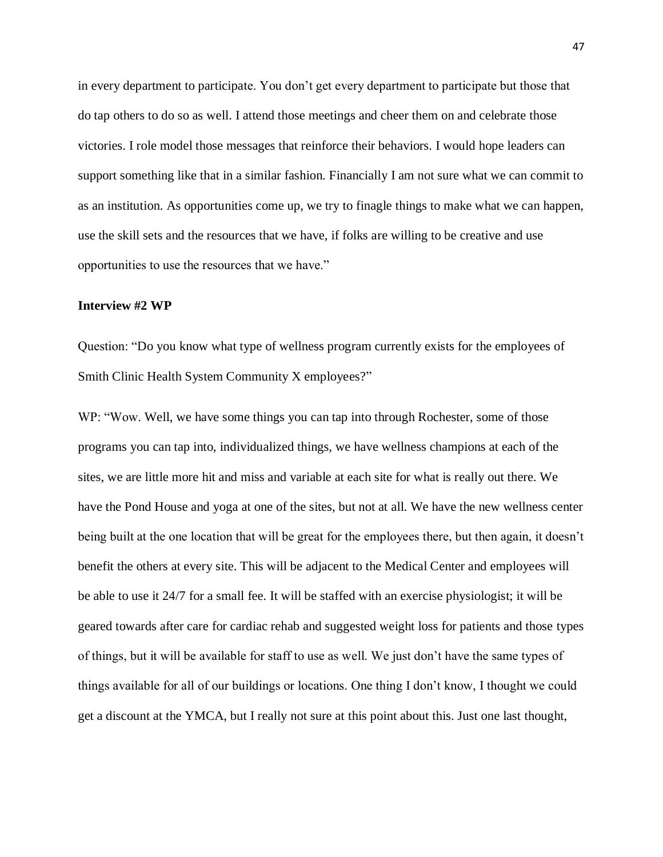in every department to participate. You don't get every department to participate but those that do tap others to do so as well. I attend those meetings and cheer them on and celebrate those victories. I role model those messages that reinforce their behaviors. I would hope leaders can support something like that in a similar fashion. Financially I am not sure what we can commit to as an institution. As opportunities come up, we try to finagle things to make what we can happen, use the skill sets and the resources that we have, if folks are willing to be creative and use opportunities to use the resources that we have."

#### **Interview #2 WP**

Question: "Do you know what type of wellness program currently exists for the employees of Smith Clinic Health System Community X employees?"

WP: "Wow. Well, we have some things you can tap into through Rochester, some of those programs you can tap into, individualized things, we have wellness champions at each of the sites, we are little more hit and miss and variable at each site for what is really out there. We have the Pond House and yoga at one of the sites, but not at all. We have the new wellness center being built at the one location that will be great for the employees there, but then again, it doesn't benefit the others at every site. This will be adjacent to the Medical Center and employees will be able to use it 24/7 for a small fee. It will be staffed with an exercise physiologist; it will be geared towards after care for cardiac rehab and suggested weight loss for patients and those types of things, but it will be available for staff to use as well. We just don't have the same types of things available for all of our buildings or locations. One thing I don't know, I thought we could get a discount at the YMCA, but I really not sure at this point about this. Just one last thought,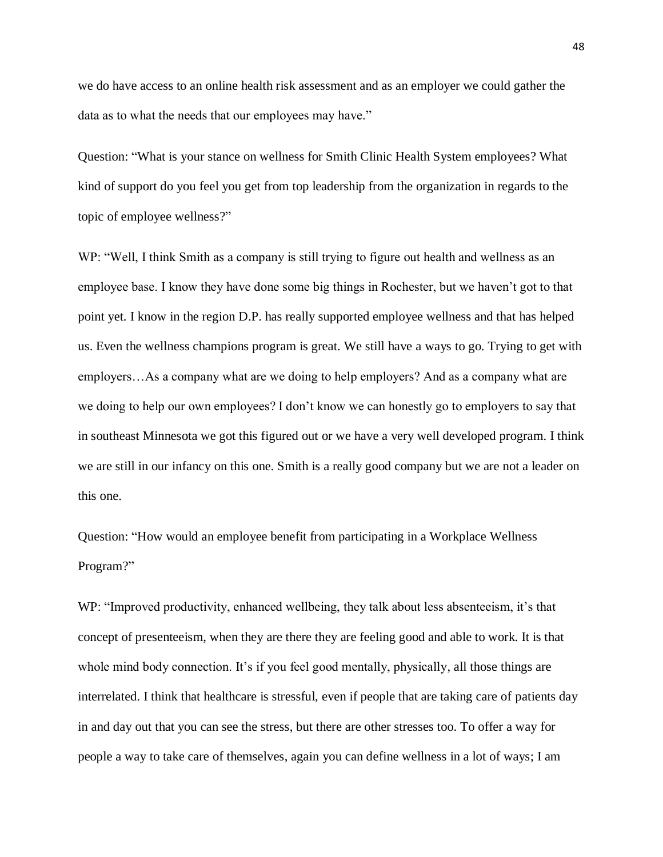we do have access to an online health risk assessment and as an employer we could gather the data as to what the needs that our employees may have."

Question: "What is your stance on wellness for Smith Clinic Health System employees? What kind of support do you feel you get from top leadership from the organization in regards to the topic of employee wellness?"

WP: "Well, I think Smith as a company is still trying to figure out health and wellness as an employee base. I know they have done some big things in Rochester, but we haven't got to that point yet. I know in the region D.P. has really supported employee wellness and that has helped us. Even the wellness champions program is great. We still have a ways to go. Trying to get with employers…As a company what are we doing to help employers? And as a company what are we doing to help our own employees? I don't know we can honestly go to employers to say that in southeast Minnesota we got this figured out or we have a very well developed program. I think we are still in our infancy on this one. Smith is a really good company but we are not a leader on this one.

Question: "How would an employee benefit from participating in a Workplace Wellness Program?"

WP: "Improved productivity, enhanced wellbeing, they talk about less absenteeism, it's that concept of presenteeism, when they are there they are feeling good and able to work. It is that whole mind body connection. It's if you feel good mentally, physically, all those things are interrelated. I think that healthcare is stressful, even if people that are taking care of patients day in and day out that you can see the stress, but there are other stresses too. To offer a way for people a way to take care of themselves, again you can define wellness in a lot of ways; I am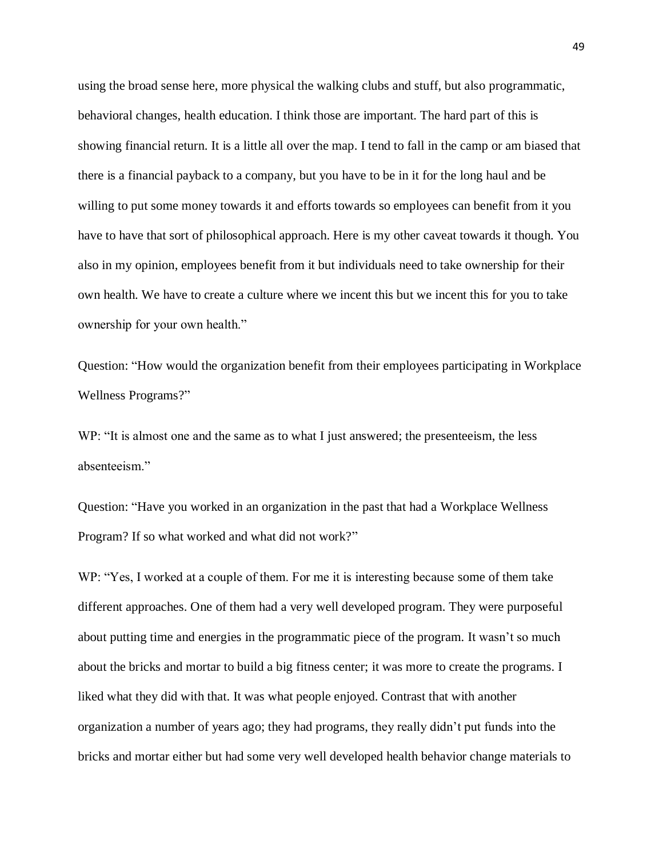using the broad sense here, more physical the walking clubs and stuff, but also programmatic, behavioral changes, health education. I think those are important. The hard part of this is showing financial return. It is a little all over the map. I tend to fall in the camp or am biased that there is a financial payback to a company, but you have to be in it for the long haul and be willing to put some money towards it and efforts towards so employees can benefit from it you have to have that sort of philosophical approach. Here is my other caveat towards it though. You also in my opinion, employees benefit from it but individuals need to take ownership for their own health. We have to create a culture where we incent this but we incent this for you to take ownership for your own health."

Question: "How would the organization benefit from their employees participating in Workplace Wellness Programs?"

WP: "It is almost one and the same as to what I just answered; the presenteeism, the less absenteeism."

Question: "Have you worked in an organization in the past that had a Workplace Wellness Program? If so what worked and what did not work?"

WP: "Yes, I worked at a couple of them. For me it is interesting because some of them take different approaches. One of them had a very well developed program. They were purposeful about putting time and energies in the programmatic piece of the program. It wasn't so much about the bricks and mortar to build a big fitness center; it was more to create the programs. I liked what they did with that. It was what people enjoyed. Contrast that with another organization a number of years ago; they had programs, they really didn't put funds into the bricks and mortar either but had some very well developed health behavior change materials to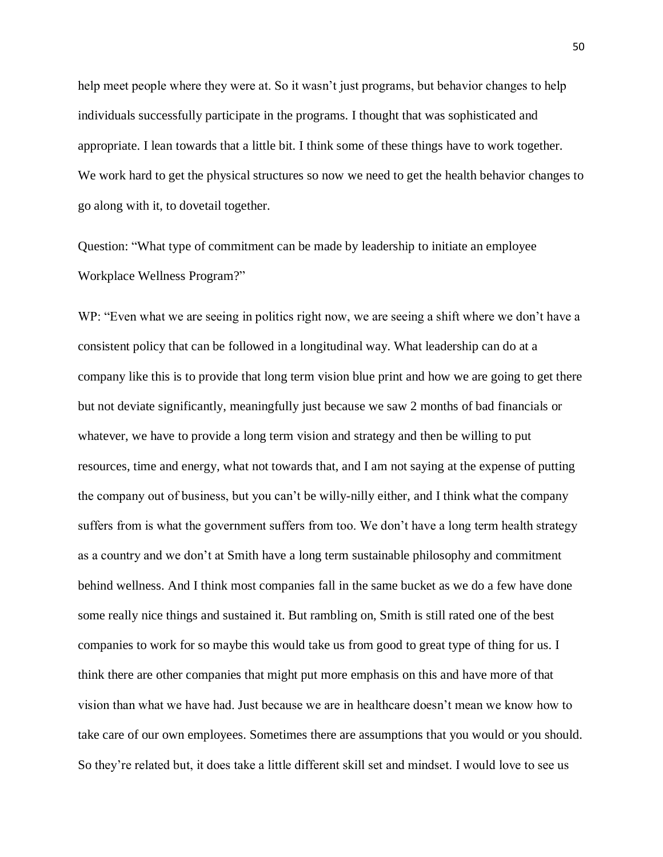help meet people where they were at. So it wasn't just programs, but behavior changes to help individuals successfully participate in the programs. I thought that was sophisticated and appropriate. I lean towards that a little bit. I think some of these things have to work together. We work hard to get the physical structures so now we need to get the health behavior changes to go along with it, to dovetail together.

Question: "What type of commitment can be made by leadership to initiate an employee Workplace Wellness Program?"

WP: "Even what we are seeing in politics right now, we are seeing a shift where we don't have a consistent policy that can be followed in a longitudinal way. What leadership can do at a company like this is to provide that long term vision blue print and how we are going to get there but not deviate significantly, meaningfully just because we saw 2 months of bad financials or whatever, we have to provide a long term vision and strategy and then be willing to put resources, time and energy, what not towards that, and I am not saying at the expense of putting the company out of business, but you can't be willy-nilly either, and I think what the company suffers from is what the government suffers from too. We don't have a long term health strategy as a country and we don't at Smith have a long term sustainable philosophy and commitment behind wellness. And I think most companies fall in the same bucket as we do a few have done some really nice things and sustained it. But rambling on, Smith is still rated one of the best companies to work for so maybe this would take us from good to great type of thing for us. I think there are other companies that might put more emphasis on this and have more of that vision than what we have had. Just because we are in healthcare doesn't mean we know how to take care of our own employees. Sometimes there are assumptions that you would or you should. So they're related but, it does take a little different skill set and mindset. I would love to see us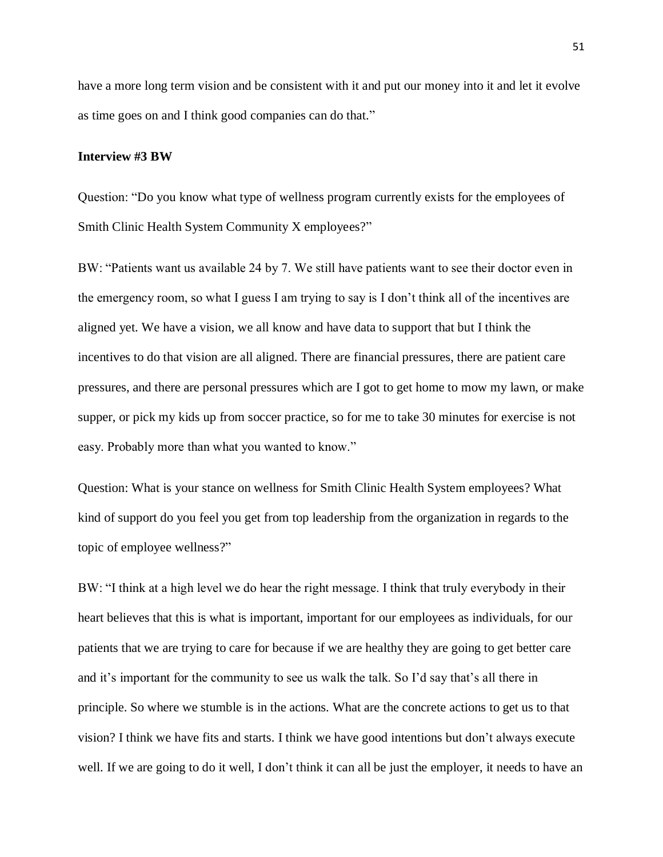have a more long term vision and be consistent with it and put our money into it and let it evolve as time goes on and I think good companies can do that."

#### **Interview #3 BW**

Question: "Do you know what type of wellness program currently exists for the employees of Smith Clinic Health System Community X employees?"

BW: "Patients want us available 24 by 7. We still have patients want to see their doctor even in the emergency room, so what I guess I am trying to say is I don't think all of the incentives are aligned yet. We have a vision, we all know and have data to support that but I think the incentives to do that vision are all aligned. There are financial pressures, there are patient care pressures, and there are personal pressures which are I got to get home to mow my lawn, or make supper, or pick my kids up from soccer practice, so for me to take 30 minutes for exercise is not easy. Probably more than what you wanted to know."

Question: What is your stance on wellness for Smith Clinic Health System employees? What kind of support do you feel you get from top leadership from the organization in regards to the topic of employee wellness?"

BW: "I think at a high level we do hear the right message. I think that truly everybody in their heart believes that this is what is important, important for our employees as individuals, for our patients that we are trying to care for because if we are healthy they are going to get better care and it's important for the community to see us walk the talk. So I'd say that's all there in principle. So where we stumble is in the actions. What are the concrete actions to get us to that vision? I think we have fits and starts. I think we have good intentions but don't always execute well. If we are going to do it well, I don't think it can all be just the employer, it needs to have an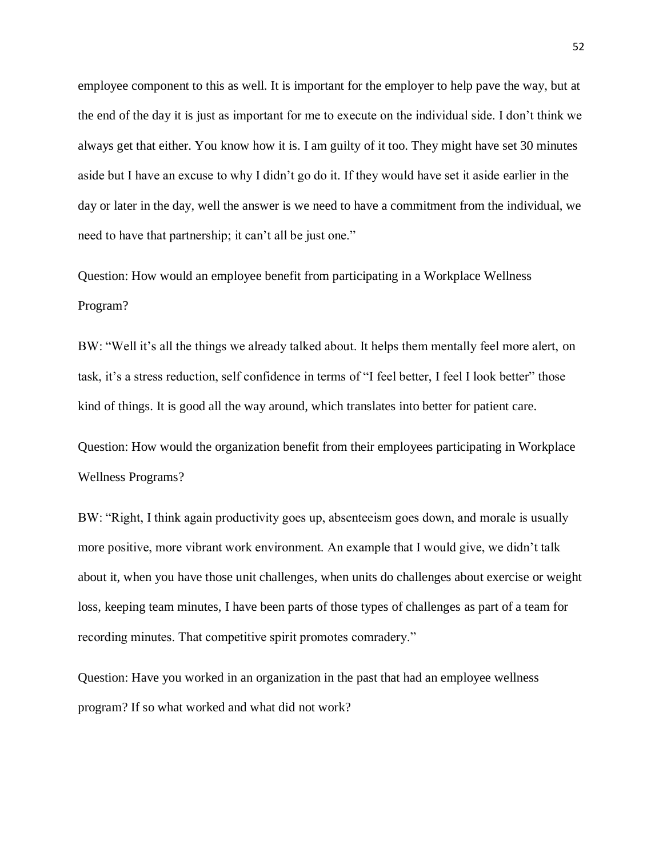employee component to this as well. It is important for the employer to help pave the way, but at the end of the day it is just as important for me to execute on the individual side. I don't think we always get that either. You know how it is. I am guilty of it too. They might have set 30 minutes aside but I have an excuse to why I didn't go do it. If they would have set it aside earlier in the day or later in the day, well the answer is we need to have a commitment from the individual, we need to have that partnership; it can't all be just one."

Question: How would an employee benefit from participating in a Workplace Wellness Program?

BW: "Well it's all the things we already talked about. It helps them mentally feel more alert, on task, it's a stress reduction, self confidence in terms of "I feel better, I feel I look better" those kind of things. It is good all the way around, which translates into better for patient care.

Question: How would the organization benefit from their employees participating in Workplace Wellness Programs?

BW: "Right, I think again productivity goes up, absenteeism goes down, and morale is usually more positive, more vibrant work environment. An example that I would give, we didn't talk about it, when you have those unit challenges, when units do challenges about exercise or weight loss, keeping team minutes, I have been parts of those types of challenges as part of a team for recording minutes. That competitive spirit promotes comradery."

Question: Have you worked in an organization in the past that had an employee wellness program? If so what worked and what did not work?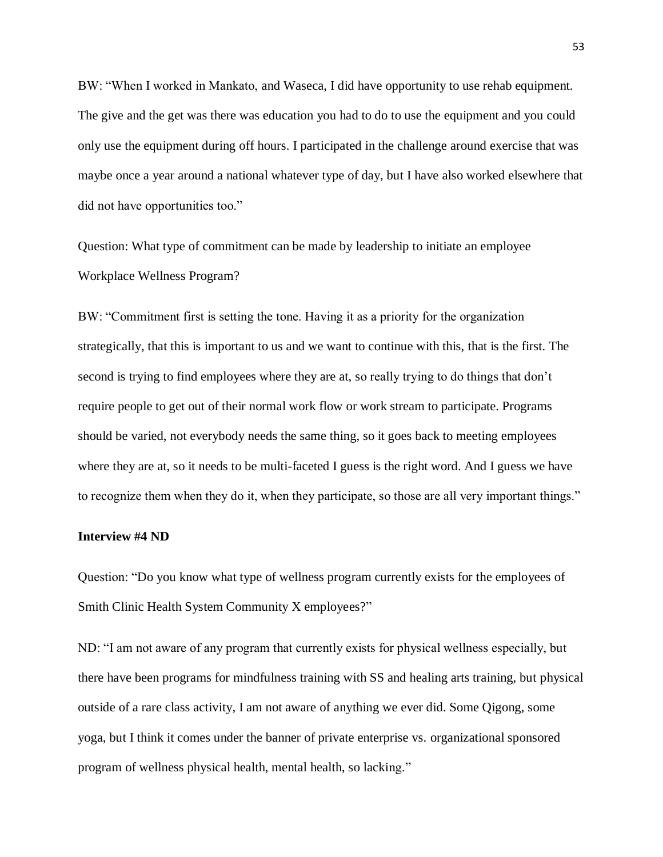BW: "When I worked in Mankato, and Waseca, I did have opportunity to use rehab equipment. The give and the get was there was education you had to do to use the equipment and you could only use the equipment during off hours. I participated in the challenge around exercise that was maybe once a year around a national whatever type of day, but I have also worked elsewhere that did not have opportunities too."

Question: What type of commitment can be made by leadership to initiate an employee Workplace Wellness Program?

BW: "Commitment first is setting the tone. Having it as a priority for the organization strategically, that this is important to us and we want to continue with this, that is the first. The second is trying to find employees where they are at, so really trying to do things that don't require people to get out of their normal work flow or work stream to participate. Programs should be varied, not everybody needs the same thing, so it goes back to meeting employees where they are at, so it needs to be multi-faceted I guess is the right word. And I guess we have to recognize them when they do it, when they participate, so those are all very important things."

#### **Interview #4 ND**

Question: "Do you know what type of wellness program currently exists for the employees of Smith Clinic Health System Community X employees?"

ND: "I am not aware of any program that currently exists for physical wellness especially, but there have been programs for mindfulness training with SS and healing arts training, but physical outside of a rare class activity, I am not aware of anything we ever did. Some Qigong, some yoga, but I think it comes under the banner of private enterprise vs. organizational sponsored program of wellness physical health, mental health, so lacking."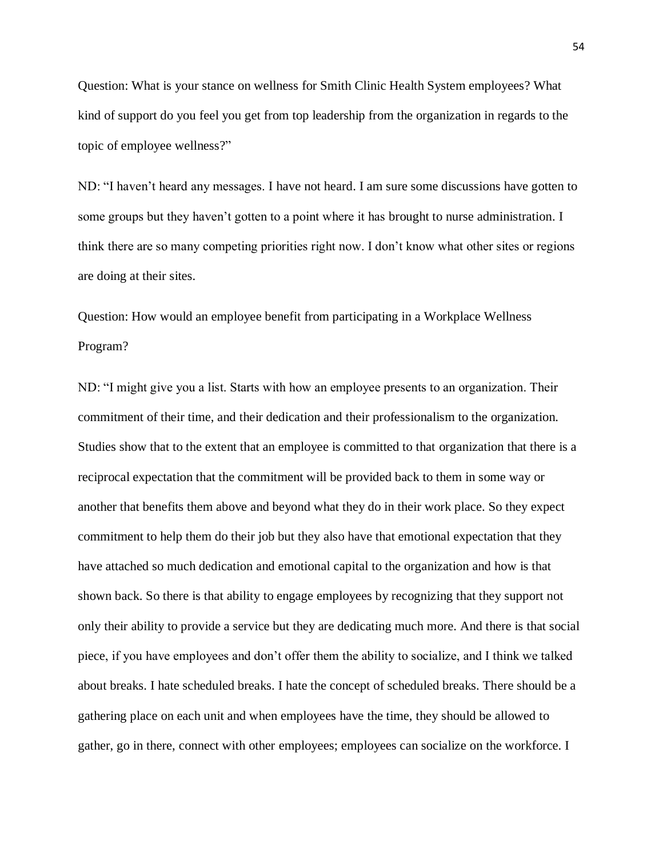Question: What is your stance on wellness for Smith Clinic Health System employees? What kind of support do you feel you get from top leadership from the organization in regards to the topic of employee wellness?"

ND: "I haven't heard any messages. I have not heard. I am sure some discussions have gotten to some groups but they haven't gotten to a point where it has brought to nurse administration. I think there are so many competing priorities right now. I don't know what other sites or regions are doing at their sites.

Question: How would an employee benefit from participating in a Workplace Wellness Program?

ND: "I might give you a list. Starts with how an employee presents to an organization. Their commitment of their time, and their dedication and their professionalism to the organization. Studies show that to the extent that an employee is committed to that organization that there is a reciprocal expectation that the commitment will be provided back to them in some way or another that benefits them above and beyond what they do in their work place. So they expect commitment to help them do their job but they also have that emotional expectation that they have attached so much dedication and emotional capital to the organization and how is that shown back. So there is that ability to engage employees by recognizing that they support not only their ability to provide a service but they are dedicating much more. And there is that social piece, if you have employees and don't offer them the ability to socialize, and I think we talked about breaks. I hate scheduled breaks. I hate the concept of scheduled breaks. There should be a gathering place on each unit and when employees have the time, they should be allowed to gather, go in there, connect with other employees; employees can socialize on the workforce. I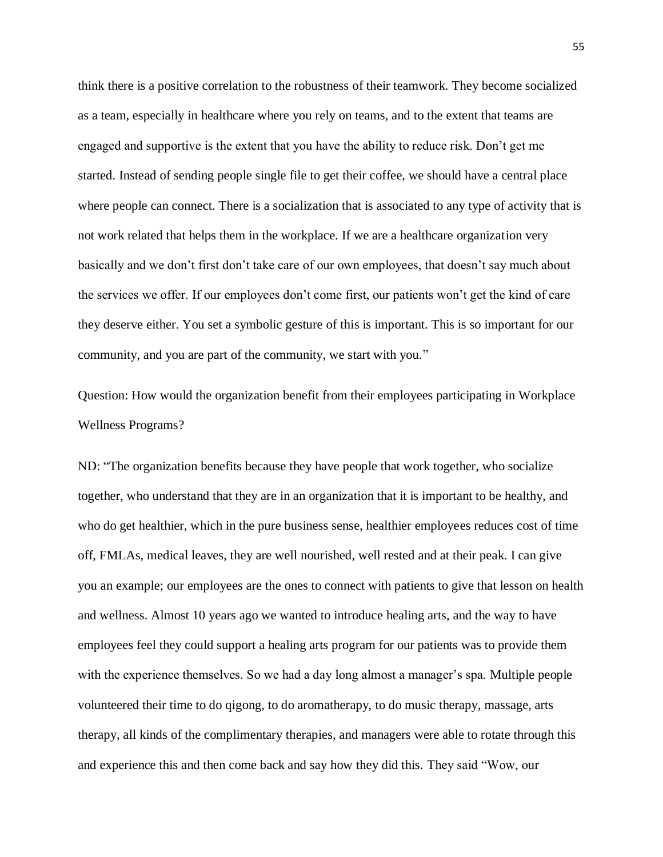think there is a positive correlation to the robustness of their teamwork. They become socialized as a team, especially in healthcare where you rely on teams, and to the extent that teams are engaged and supportive is the extent that you have the ability to reduce risk. Don't get me started. Instead of sending people single file to get their coffee, we should have a central place where people can connect. There is a socialization that is associated to any type of activity that is not work related that helps them in the workplace. If we are a healthcare organization very basically and we don't first don't take care of our own employees, that doesn't say much about the services we offer. If our employees don't come first, our patients won't get the kind of care they deserve either. You set a symbolic gesture of this is important. This is so important for our community, and you are part of the community, we start with you."

Question: How would the organization benefit from their employees participating in Workplace Wellness Programs?

ND: "The organization benefits because they have people that work together, who socialize together, who understand that they are in an organization that it is important to be healthy, and who do get healthier, which in the pure business sense, healthier employees reduces cost of time off, FMLAs, medical leaves, they are well nourished, well rested and at their peak. I can give you an example; our employees are the ones to connect with patients to give that lesson on health and wellness. Almost 10 years ago we wanted to introduce healing arts, and the way to have employees feel they could support a healing arts program for our patients was to provide them with the experience themselves. So we had a day long almost a manager's spa. Multiple people volunteered their time to do qigong, to do aromatherapy, to do music therapy, massage, arts therapy, all kinds of the complimentary therapies, and managers were able to rotate through this and experience this and then come back and say how they did this. They said "Wow, our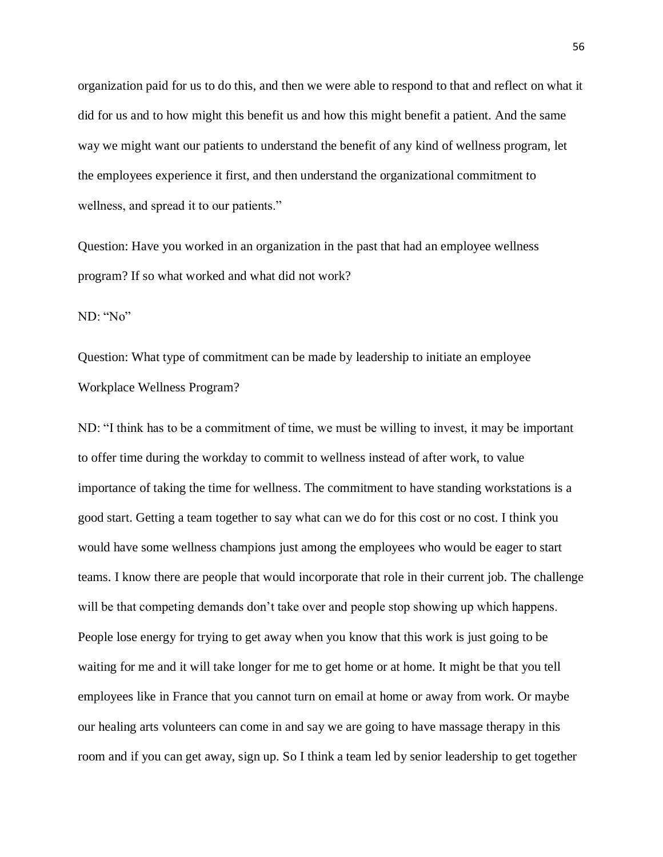organization paid for us to do this, and then we were able to respond to that and reflect on what it did for us and to how might this benefit us and how this might benefit a patient. And the same way we might want our patients to understand the benefit of any kind of wellness program, let the employees experience it first, and then understand the organizational commitment to wellness, and spread it to our patients."

Question: Have you worked in an organization in the past that had an employee wellness program? If so what worked and what did not work?

ND: "No"

Question: What type of commitment can be made by leadership to initiate an employee Workplace Wellness Program?

ND: "I think has to be a commitment of time, we must be willing to invest, it may be important to offer time during the workday to commit to wellness instead of after work, to value importance of taking the time for wellness. The commitment to have standing workstations is a good start. Getting a team together to say what can we do for this cost or no cost. I think you would have some wellness champions just among the employees who would be eager to start teams. I know there are people that would incorporate that role in their current job. The challenge will be that competing demands don't take over and people stop showing up which happens. People lose energy for trying to get away when you know that this work is just going to be waiting for me and it will take longer for me to get home or at home. It might be that you tell employees like in France that you cannot turn on email at home or away from work. Or maybe our healing arts volunteers can come in and say we are going to have massage therapy in this room and if you can get away, sign up. So I think a team led by senior leadership to get together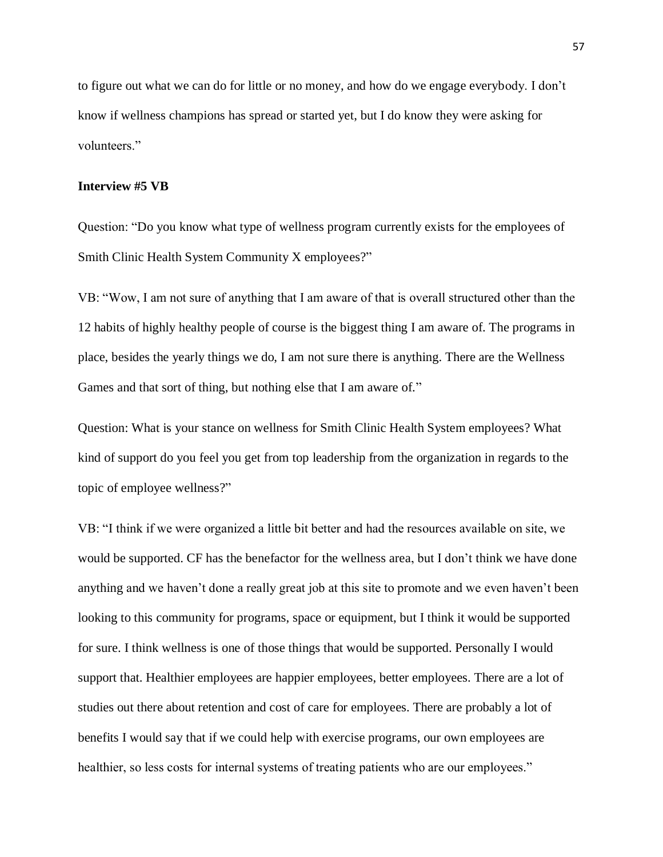to figure out what we can do for little or no money, and how do we engage everybody. I don't know if wellness champions has spread or started yet, but I do know they were asking for volunteers."

#### **Interview #5 VB**

Question: "Do you know what type of wellness program currently exists for the employees of Smith Clinic Health System Community X employees?"

VB: "Wow, I am not sure of anything that I am aware of that is overall structured other than the 12 habits of highly healthy people of course is the biggest thing I am aware of. The programs in place, besides the yearly things we do, I am not sure there is anything. There are the Wellness Games and that sort of thing, but nothing else that I am aware of."

Question: What is your stance on wellness for Smith Clinic Health System employees? What kind of support do you feel you get from top leadership from the organization in regards to the topic of employee wellness?"

VB: "I think if we were organized a little bit better and had the resources available on site, we would be supported. CF has the benefactor for the wellness area, but I don't think we have done anything and we haven't done a really great job at this site to promote and we even haven't been looking to this community for programs, space or equipment, but I think it would be supported for sure. I think wellness is one of those things that would be supported. Personally I would support that. Healthier employees are happier employees, better employees. There are a lot of studies out there about retention and cost of care for employees. There are probably a lot of benefits I would say that if we could help with exercise programs, our own employees are healthier, so less costs for internal systems of treating patients who are our employees."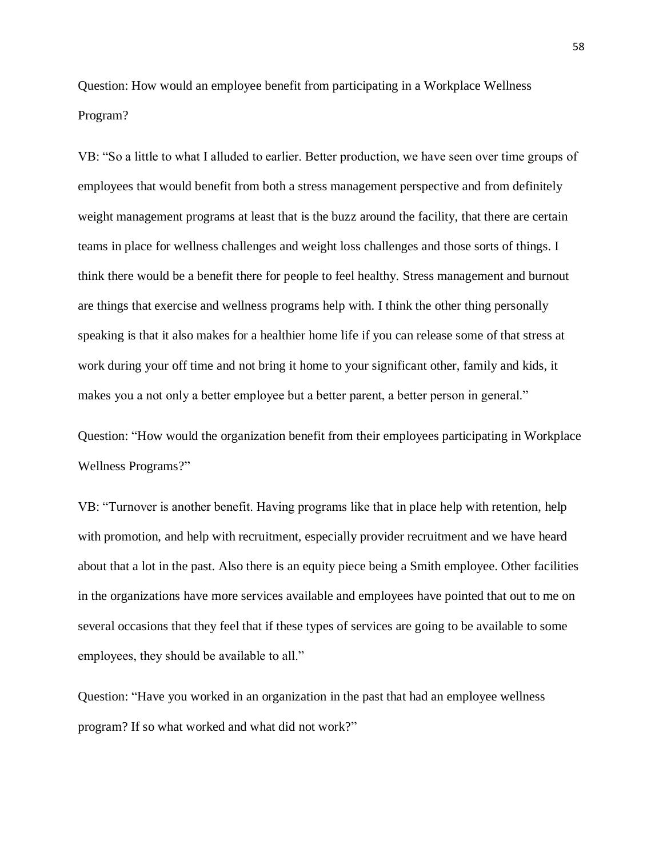Question: How would an employee benefit from participating in a Workplace Wellness Program?

VB: "So a little to what I alluded to earlier. Better production, we have seen over time groups of employees that would benefit from both a stress management perspective and from definitely weight management programs at least that is the buzz around the facility, that there are certain teams in place for wellness challenges and weight loss challenges and those sorts of things. I think there would be a benefit there for people to feel healthy. Stress management and burnout are things that exercise and wellness programs help with. I think the other thing personally speaking is that it also makes for a healthier home life if you can release some of that stress at work during your off time and not bring it home to your significant other, family and kids, it makes you a not only a better employee but a better parent, a better person in general."

Question: "How would the organization benefit from their employees participating in Workplace Wellness Programs?"

VB: "Turnover is another benefit. Having programs like that in place help with retention, help with promotion, and help with recruitment, especially provider recruitment and we have heard about that a lot in the past. Also there is an equity piece being a Smith employee. Other facilities in the organizations have more services available and employees have pointed that out to me on several occasions that they feel that if these types of services are going to be available to some employees, they should be available to all."

Question: "Have you worked in an organization in the past that had an employee wellness program? If so what worked and what did not work?"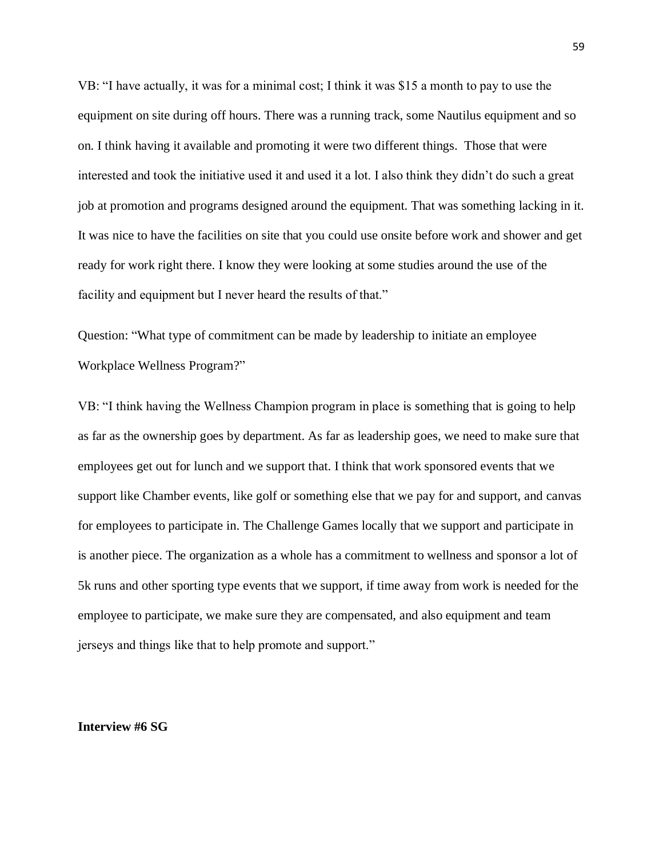VB: "I have actually, it was for a minimal cost; I think it was \$15 a month to pay to use the equipment on site during off hours. There was a running track, some Nautilus equipment and so on. I think having it available and promoting it were two different things. Those that were interested and took the initiative used it and used it a lot. I also think they didn't do such a great job at promotion and programs designed around the equipment. That was something lacking in it. It was nice to have the facilities on site that you could use onsite before work and shower and get ready for work right there. I know they were looking at some studies around the use of the facility and equipment but I never heard the results of that."

Question: "What type of commitment can be made by leadership to initiate an employee Workplace Wellness Program?"

VB: "I think having the Wellness Champion program in place is something that is going to help as far as the ownership goes by department. As far as leadership goes, we need to make sure that employees get out for lunch and we support that. I think that work sponsored events that we support like Chamber events, like golf or something else that we pay for and support, and canvas for employees to participate in. The Challenge Games locally that we support and participate in is another piece. The organization as a whole has a commitment to wellness and sponsor a lot of 5k runs and other sporting type events that we support, if time away from work is needed for the employee to participate, we make sure they are compensated, and also equipment and team jerseys and things like that to help promote and support."

#### **Interview #6 SG**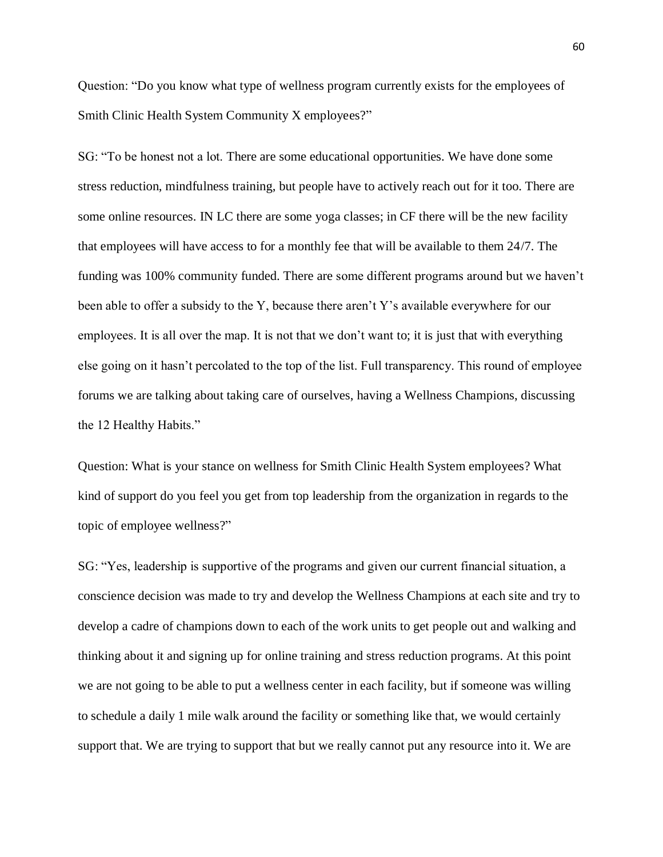Question: "Do you know what type of wellness program currently exists for the employees of Smith Clinic Health System Community X employees?"

SG: "To be honest not a lot. There are some educational opportunities. We have done some stress reduction, mindfulness training, but people have to actively reach out for it too. There are some online resources. IN LC there are some yoga classes; in CF there will be the new facility that employees will have access to for a monthly fee that will be available to them 24/7. The funding was 100% community funded. There are some different programs around but we haven't been able to offer a subsidy to the Y, because there aren't Y's available everywhere for our employees. It is all over the map. It is not that we don't want to; it is just that with everything else going on it hasn't percolated to the top of the list. Full transparency. This round of employee forums we are talking about taking care of ourselves, having a Wellness Champions, discussing the 12 Healthy Habits."

Question: What is your stance on wellness for Smith Clinic Health System employees? What kind of support do you feel you get from top leadership from the organization in regards to the topic of employee wellness?"

SG: "Yes, leadership is supportive of the programs and given our current financial situation, a conscience decision was made to try and develop the Wellness Champions at each site and try to develop a cadre of champions down to each of the work units to get people out and walking and thinking about it and signing up for online training and stress reduction programs. At this point we are not going to be able to put a wellness center in each facility, but if someone was willing to schedule a daily 1 mile walk around the facility or something like that, we would certainly support that. We are trying to support that but we really cannot put any resource into it. We are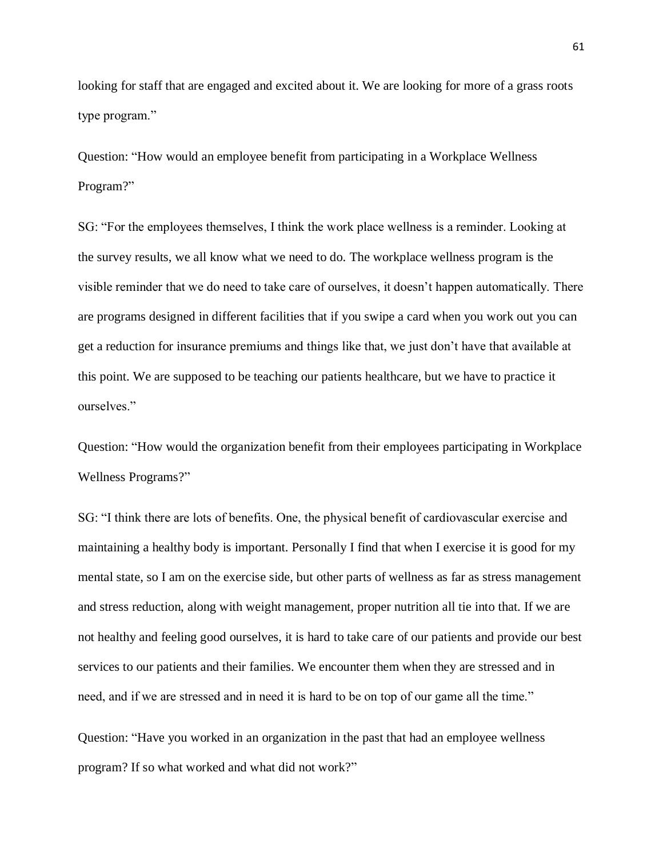looking for staff that are engaged and excited about it. We are looking for more of a grass roots type program."

Question: "How would an employee benefit from participating in a Workplace Wellness Program?"

SG: "For the employees themselves, I think the work place wellness is a reminder. Looking at the survey results, we all know what we need to do. The workplace wellness program is the visible reminder that we do need to take care of ourselves, it doesn't happen automatically. There are programs designed in different facilities that if you swipe a card when you work out you can get a reduction for insurance premiums and things like that, we just don't have that available at this point. We are supposed to be teaching our patients healthcare, but we have to practice it ourselves."

Question: "How would the organization benefit from their employees participating in Workplace Wellness Programs?"

SG: "I think there are lots of benefits. One, the physical benefit of cardiovascular exercise and maintaining a healthy body is important. Personally I find that when I exercise it is good for my mental state, so I am on the exercise side, but other parts of wellness as far as stress management and stress reduction, along with weight management, proper nutrition all tie into that. If we are not healthy and feeling good ourselves, it is hard to take care of our patients and provide our best services to our patients and their families. We encounter them when they are stressed and in need, and if we are stressed and in need it is hard to be on top of our game all the time."

Question: "Have you worked in an organization in the past that had an employee wellness program? If so what worked and what did not work?"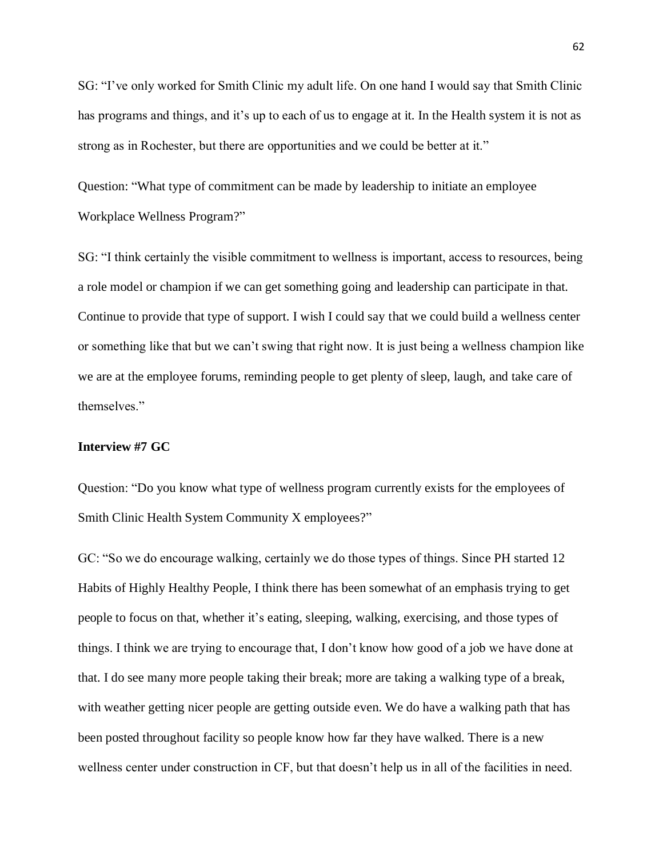SG: "I've only worked for Smith Clinic my adult life. On one hand I would say that Smith Clinic has programs and things, and it's up to each of us to engage at it. In the Health system it is not as strong as in Rochester, but there are opportunities and we could be better at it."

Question: "What type of commitment can be made by leadership to initiate an employee Workplace Wellness Program?"

SG: "I think certainly the visible commitment to wellness is important, access to resources, being a role model or champion if we can get something going and leadership can participate in that. Continue to provide that type of support. I wish I could say that we could build a wellness center or something like that but we can't swing that right now. It is just being a wellness champion like we are at the employee forums, reminding people to get plenty of sleep, laugh, and take care of themselves."

#### **Interview #7 GC**

Question: "Do you know what type of wellness program currently exists for the employees of Smith Clinic Health System Community X employees?"

GC: "So we do encourage walking, certainly we do those types of things. Since PH started 12 Habits of Highly Healthy People, I think there has been somewhat of an emphasis trying to get people to focus on that, whether it's eating, sleeping, walking, exercising, and those types of things. I think we are trying to encourage that, I don't know how good of a job we have done at that. I do see many more people taking their break; more are taking a walking type of a break, with weather getting nicer people are getting outside even. We do have a walking path that has been posted throughout facility so people know how far they have walked. There is a new wellness center under construction in CF, but that doesn't help us in all of the facilities in need.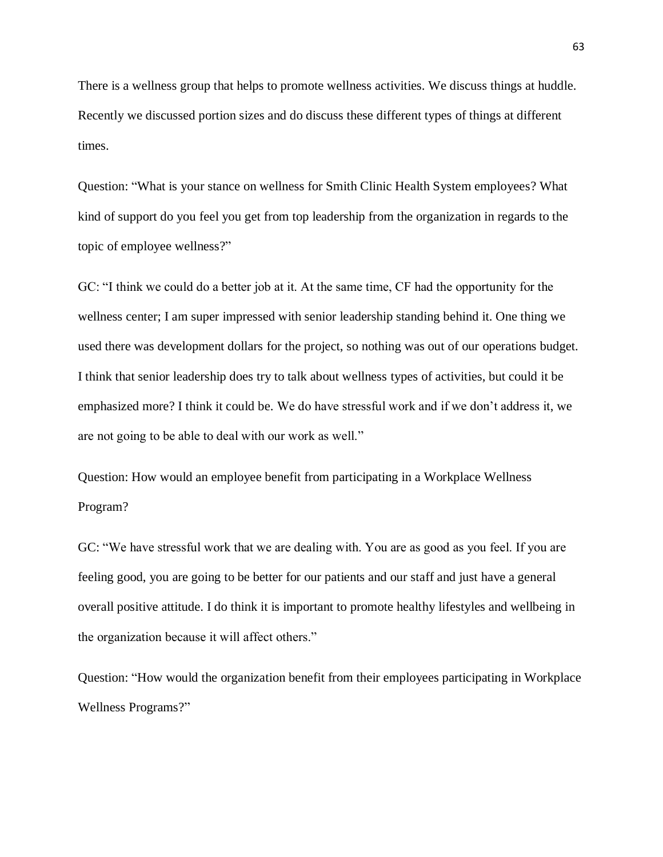There is a wellness group that helps to promote wellness activities. We discuss things at huddle. Recently we discussed portion sizes and do discuss these different types of things at different times.

Question: "What is your stance on wellness for Smith Clinic Health System employees? What kind of support do you feel you get from top leadership from the organization in regards to the topic of employee wellness?"

GC: "I think we could do a better job at it. At the same time, CF had the opportunity for the wellness center; I am super impressed with senior leadership standing behind it. One thing we used there was development dollars for the project, so nothing was out of our operations budget. I think that senior leadership does try to talk about wellness types of activities, but could it be emphasized more? I think it could be. We do have stressful work and if we don't address it, we are not going to be able to deal with our work as well."

Question: How would an employee benefit from participating in a Workplace Wellness Program?

GC: "We have stressful work that we are dealing with. You are as good as you feel. If you are feeling good, you are going to be better for our patients and our staff and just have a general overall positive attitude. I do think it is important to promote healthy lifestyles and wellbeing in the organization because it will affect others."

Question: "How would the organization benefit from their employees participating in Workplace Wellness Programs?"